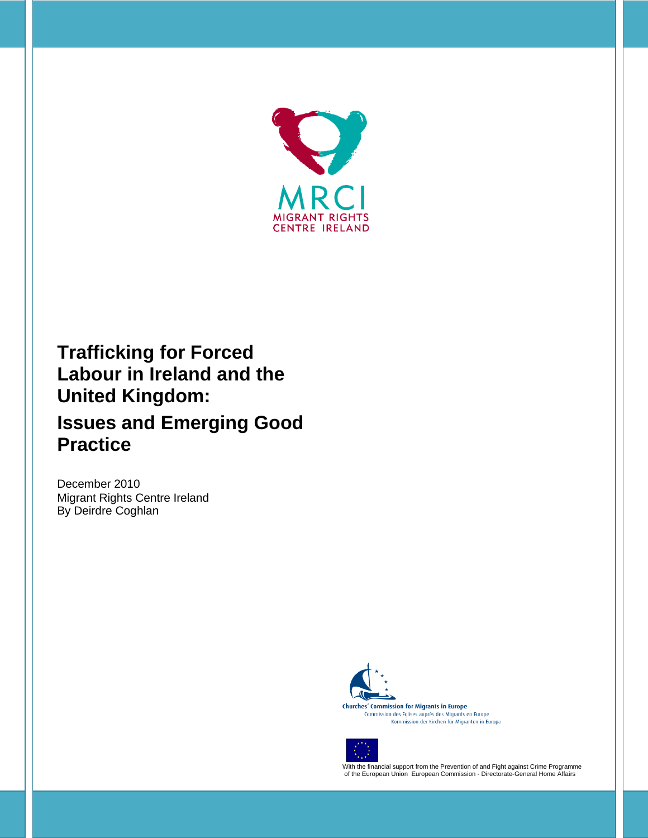

# **Trafficking for Forced Labour in Ireland and the United Kingdom: Issues and Emerging Good Practice**

December 2010 Migrant Rights Centre Ireland By Deirdre Coghlan



**Churches' Commission for Migrants in Europe** Commission des Eglises auprès des Migrants en Europe<br>Kommission der Kirchen für Migranten in Europa



With the financial support from the Prevention of and Fight against Crime Programme of the European Union European Commission - Directorate-General Home Affairs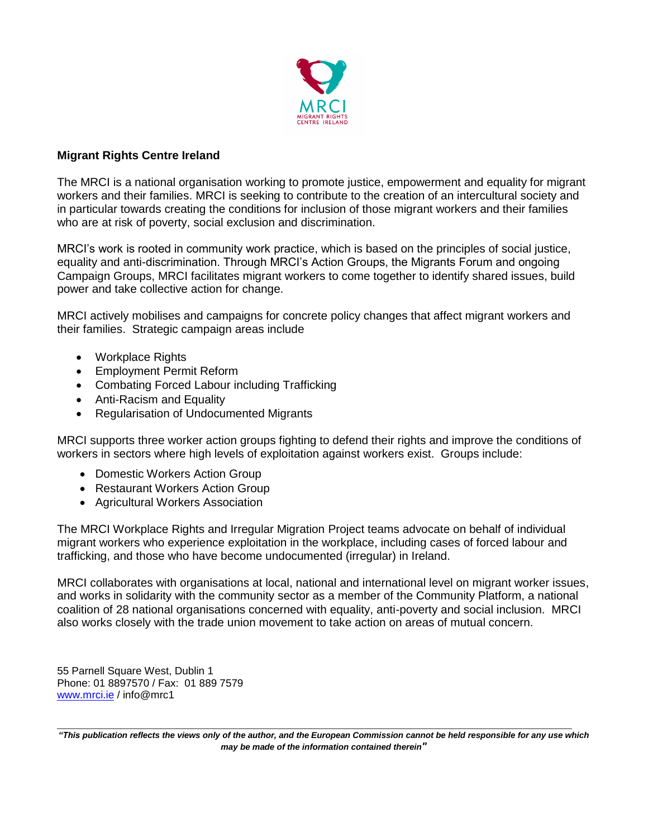

#### **Migrant Rights Centre Ireland**

The MRCI is a national organisation working to promote justice, empowerment and equality for migrant workers and their families. MRCI is seeking to contribute to the creation of an intercultural society and in particular towards creating the conditions for inclusion of those migrant workers and their families who are at risk of poverty, social exclusion and discrimination.

MRCI"s work is rooted in community work practice, which is based on the principles of social justice, equality and anti-discrimination. Through MRCI"s Action Groups, the Migrants Forum and ongoing Campaign Groups, MRCI facilitates migrant workers to come together to identify shared issues, build power and take collective action for change.

MRCI actively mobilises and campaigns for concrete policy changes that affect migrant workers and their families. Strategic campaign areas include

- Workplace Rights
- Employment Permit Reform
- Combating Forced Labour including Trafficking
- Anti-Racism and Equality
- Regularisation of Undocumented Migrants

MRCI supports three worker action groups fighting to defend their rights and improve the conditions of workers in sectors where high levels of exploitation against workers exist. Groups include:

- Domestic Workers Action Group
- Restaurant Workers Action Group
- Agricultural Workers Association

The MRCI Workplace Rights and Irregular Migration Project teams advocate on behalf of individual migrant workers who experience exploitation in the workplace, including cases of forced labour and trafficking, and those who have become undocumented (irregular) in Ireland.

MRCI collaborates with organisations at local, national and international level on migrant worker issues, and works in solidarity with the community sector as a member of the Community Platform, a national coalition of 28 national organisations concerned with equality, anti-poverty and social inclusion. MRCI also works closely with the trade union movement to take action on areas of mutual concern.

55 Parnell Square West, Dublin 1 Phone: 01 8897570 / Fax: 01 889 7579 [www.mrci.ie](http://www.mrci.ie/) / info@mrc1

**\_\_\_\_\_\_\_\_\_\_\_\_\_\_\_\_\_\_\_\_\_\_\_\_\_\_\_\_\_\_\_\_\_\_\_\_\_\_\_\_\_\_\_\_\_\_\_\_\_\_\_\_\_\_\_\_\_\_\_\_\_\_\_\_\_\_\_\_\_\_\_\_\_** *"This publication reflects the views only of the author, and the European Commission cannot be held responsible for any use which may be made of the information contained therein"*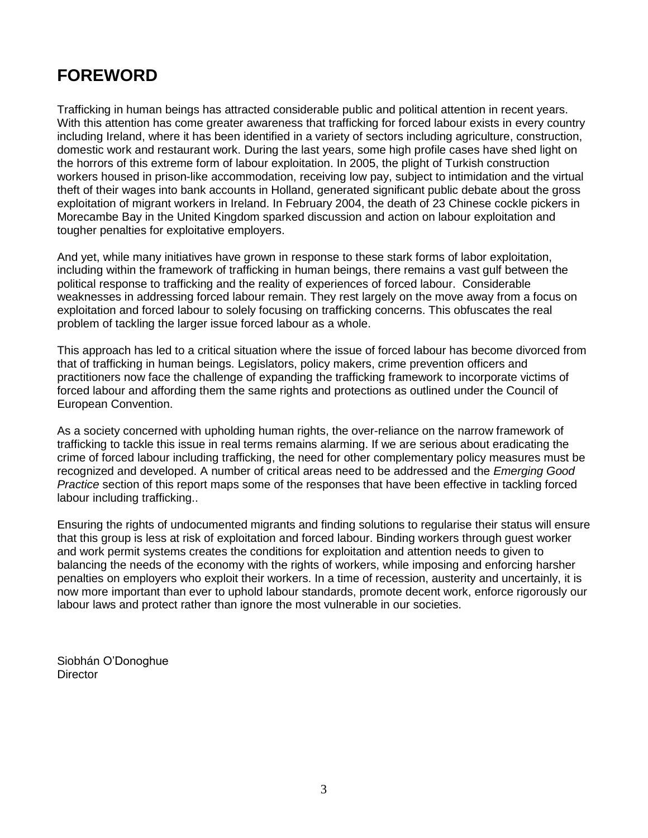## **FOREWORD**

Trafficking in human beings has attracted considerable public and political attention in recent years. With this attention has come greater awareness that trafficking for forced labour exists in every country including Ireland, where it has been identified in a variety of sectors including agriculture, construction, domestic work and restaurant work. During the last years, some high profile cases have shed light on the horrors of this extreme form of labour exploitation. In 2005, the plight of Turkish construction workers housed in prison-like accommodation, receiving low pay, subject to intimidation and the virtual theft of their wages into bank accounts in Holland, generated significant public debate about the gross exploitation of migrant workers in Ireland. In February 2004, the death of 23 Chinese cockle pickers in Morecambe Bay in the United Kingdom sparked discussion and action on labour exploitation and tougher penalties for exploitative employers.

And yet, while many initiatives have grown in response to these stark forms of labor exploitation, including within the framework of trafficking in human beings, there remains a vast gulf between the political response to trafficking and the reality of experiences of forced labour. Considerable weaknesses in addressing forced labour remain. They rest largely on the move away from a focus on exploitation and forced labour to solely focusing on trafficking concerns. This obfuscates the real problem of tackling the larger issue forced labour as a whole.

This approach has led to a critical situation where the issue of forced labour has become divorced from that of trafficking in human beings. Legislators, policy makers, crime prevention officers and practitioners now face the challenge of expanding the trafficking framework to incorporate victims of forced labour and affording them the same rights and protections as outlined under the Council of European Convention.

As a society concerned with upholding human rights, the over-reliance on the narrow framework of trafficking to tackle this issue in real terms remains alarming. If we are serious about eradicating the crime of forced labour including trafficking, the need for other complementary policy measures must be recognized and developed. A number of critical areas need to be addressed and the *Emerging Good Practice* section of this report maps some of the responses that have been effective in tackling forced labour including trafficking..

Ensuring the rights of undocumented migrants and finding solutions to regularise their status will ensure that this group is less at risk of exploitation and forced labour. Binding workers through guest worker and work permit systems creates the conditions for exploitation and attention needs to given to balancing the needs of the economy with the rights of workers, while imposing and enforcing harsher penalties on employers who exploit their workers. In a time of recession, austerity and uncertainly, it is now more important than ever to uphold labour standards, promote decent work, enforce rigorously our labour laws and protect rather than ignore the most vulnerable in our societies.

Siobhán O"Donoghue **Director**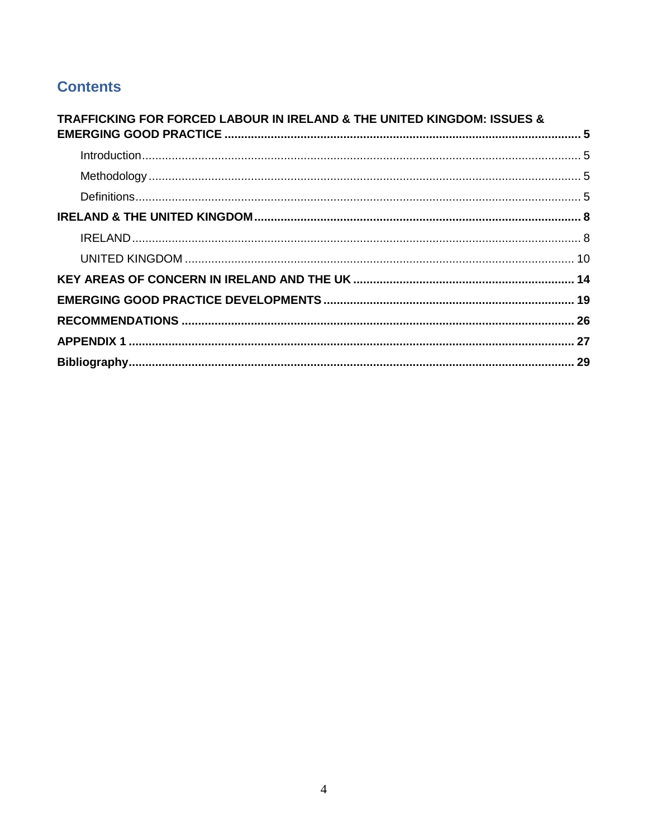## **Contents**

<span id="page-3-0"></span>

| <b>TRAFFICKING FOR FORCED LABOUR IN IRELAND &amp; THE UNITED KINGDOM: ISSUES &amp;</b> |  |
|----------------------------------------------------------------------------------------|--|
|                                                                                        |  |
|                                                                                        |  |
|                                                                                        |  |
|                                                                                        |  |
|                                                                                        |  |
|                                                                                        |  |
|                                                                                        |  |
|                                                                                        |  |
|                                                                                        |  |
|                                                                                        |  |
|                                                                                        |  |
|                                                                                        |  |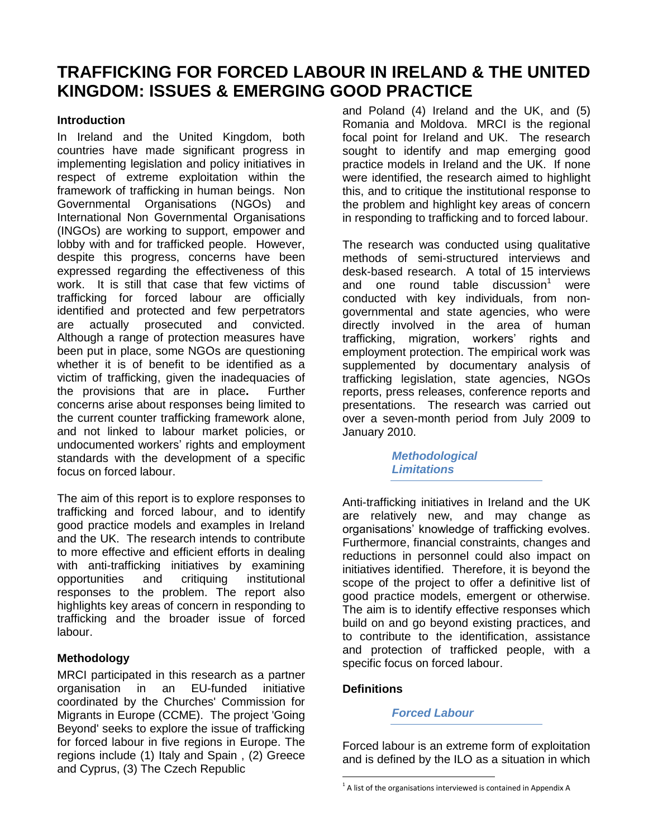## **TRAFFICKING FOR FORCED LABOUR IN IRELAND & THE UNITED KINGDOM: ISSUES & EMERGING GOOD PRACTICE**

#### <span id="page-4-0"></span>**Introduction**

In Ireland and the United Kingdom, both countries have made significant progress in implementing legislation and policy initiatives in respect of extreme exploitation within the framework of trafficking in human beings. Non Governmental Organisations (NGOs) and International Non Governmental Organisations (INGOs) are working to support, empower and lobby with and for trafficked people. However, despite this progress, concerns have been expressed regarding the effectiveness of this work. It is still that case that few victims of trafficking for forced labour are officially identified and protected and few perpetrators are actually prosecuted and convicted. Although a range of protection measures have been put in place, some NGOs are questioning whether it is of benefit to be identified as a victim of trafficking, given the inadequacies of the provisions that are in place**.** Further concerns arise about responses being limited to the current counter trafficking framework alone, and not linked to labour market policies, or undocumented workers" rights and employment standards with the development of a specific focus on forced labour.

The aim of this report is to explore responses to trafficking and forced labour, and to identify good practice models and examples in Ireland and the UK. The research intends to contribute to more effective and efficient efforts in dealing with anti-trafficking initiatives by examining opportunities and critiquing institutional responses to the problem. The report also highlights key areas of concern in responding to trafficking and the broader issue of forced labour.

## <span id="page-4-1"></span>**Methodology**

MRCI participated in this research as a partner organisation in an EU-funded initiative coordinated by the Churches' Commission for Migrants in Europe (CCME). The project 'Going Beyond' seeks to explore the issue of trafficking for forced labour in five regions in Europe. The regions include (1) Italy and Spain , (2) Greece and Cyprus, (3) The Czech Republic

and Poland (4) Ireland and the UK, and (5) Romania and Moldova. MRCI is the regional focal point for Ireland and UK. The research sought to identify and map emerging good practice models in Ireland and the UK. If none were identified, the research aimed to highlight this, and to critique the institutional response to the problem and highlight key areas of concern in responding to trafficking and to forced labour.

The research was conducted using qualitative methods of semi-structured interviews and desk-based research. A total of 15 interviews and one round table discussion<sup>1</sup> were conducted with key individuals, from nongovernmental and state agencies, who were directly involved in the area of human trafficking, migration, workers" rights and employment protection. The empirical work was supplemented by documentary analysis of trafficking legislation, state agencies, NGOs reports, press releases, conference reports and presentations. The research was carried out over a seven-month period from July 2009 to January 2010.

> *Methodological Limitations*

Anti-trafficking initiatives in Ireland and the UK are relatively new, and may change as organisations" knowledge of trafficking evolves. Furthermore, financial constraints, changes and reductions in personnel could also impact on initiatives identified. Therefore, it is beyond the scope of the project to offer a definitive list of good practice models, emergent or otherwise. The aim is to identify effective responses which build on and go beyond existing practices, and to contribute to the identification, assistance and protection of trafficked people, with a specific focus on forced labour.

#### **Definitions**

 $\overline{a}$ 

<span id="page-4-2"></span>*Forced Labour*

Forced labour is an extreme form of exploitation and is defined by the ILO as a situation in which

 $1$  A list of the organisations interviewed is contained in Appendix A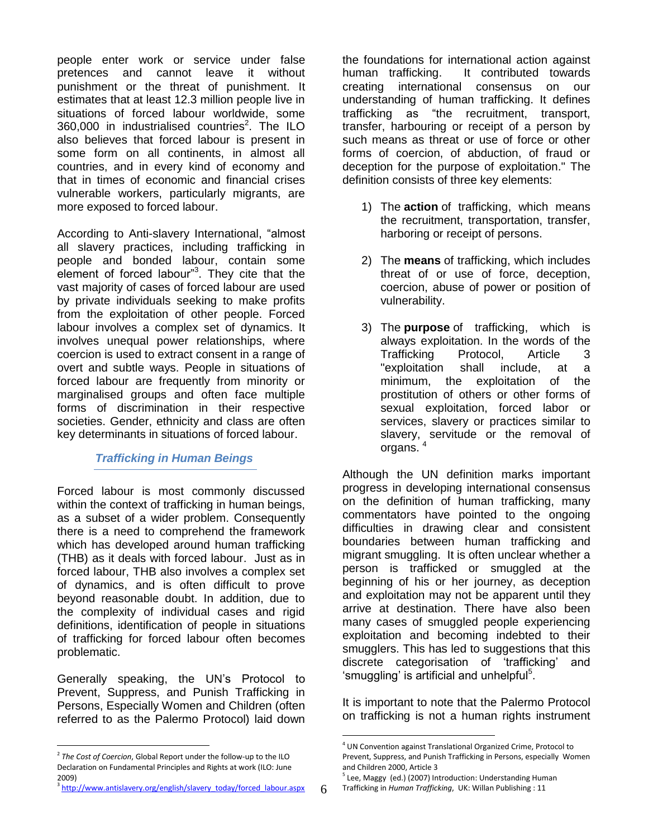people enter work or service under false pretences and cannot leave it without punishment or the threat of punishment. It estimates that at least 12.3 million people live in situations of forced labour worldwide, some 360,000 in industrialised countries<sup>2</sup>. The ILO also believes that forced labour is present in some form on all continents, in almost all countries, and in every kind of economy and that in times of economic and financial crises vulnerable workers, particularly migrants, are more exposed to forced labour.

According to Anti-slavery International, "almost all slavery practices, including trafficking in people and bonded labour, contain some element of forced labour"<sup>3</sup>. They cite that the vast majority of cases of forced labour are used by private individuals seeking to make profits from the exploitation of other people. Forced labour involves a complex set of dynamics. It involves unequal power relationships, where coercion is used to extract consent in a range of overt and subtle ways. People in situations of forced labour are frequently from minority or marginalised groups and often face multiple forms of discrimination in their respective societies. Gender, ethnicity and class are often key determinants in situations of forced labour.

#### *Trafficking in Human Beings*

Forced labour is most commonly discussed within the context of trafficking in human beings, as a subset of a wider problem. Consequently there is a need to comprehend the framework which has developed around human trafficking (THB) as it deals with forced labour. Just as in forced labour, THB also involves a complex set of dynamics, and is often difficult to prove beyond reasonable doubt. In addition, due to the complexity of individual cases and rigid definitions, identification of people in situations of trafficking for forced labour often becomes problematic.

Generally speaking, the UN"s Protocol to Prevent, Suppress, and Punish Trafficking in Persons, Especially Women and Children (often referred to as the Palermo Protocol) laid down

<sup>3</sup> [http://www.antislavery.org/english/slavery\\_today/forced\\_labour.aspx](http://www.antislavery.org/english/slavery_today/forced_labour.aspx)

the foundations for international action against human trafficking. It contributed towards creating international consensus on our understanding of human trafficking. It defines trafficking as "the recruitment, transport, transfer, harbouring or receipt of a person by such means as threat or use of force or other forms of coercion, of abduction, of fraud or deception for the purpose of exploitation." The definition consists of three key elements:

- 1) The **action** of trafficking, which means the recruitment, transportation, transfer, harboring or receipt of persons.
- 2) The **means** of trafficking, which includes threat of or use of force, deception, coercion, abuse of power or position of vulnerability.
- 3) The **purpose** of trafficking, which is always exploitation. In the words of the Trafficking Protocol, Article 3 "exploitation shall include, at a minimum, the exploitation of the prostitution of others or other forms of sexual exploitation, forced labor or services, slavery or practices similar to slavery, servitude or the removal of organs.<sup>4</sup>

Although the UN definition marks important progress in developing international consensus on the definition of human trafficking, many commentators have pointed to the ongoing difficulties in drawing clear and consistent boundaries between human trafficking and migrant smuggling. It is often unclear whether a person is trafficked or smuggled at the beginning of his or her journey, as deception and exploitation may not be apparent until they arrive at destination. There have also been many cases of smuggled people experiencing exploitation and becoming indebted to their smugglers. This has led to suggestions that this discrete categorisation of "trafficking" and 'smuggling' is artificial and unhelpful<sup>5</sup>.

It is important to note that the Palermo Protocol on trafficking is not a human rights instrument

 $\overline{a}$ 2 *The Cost of Coercion*, Global Report under the follow-up to the ILO Declaration on Fundamental Principles and Rights at work (ILO: June 2009)

<sup>&</sup>lt;sup>4</sup> UN Convention against Translational Organized Crime, Protocol to Prevent, Suppress, and Punish Trafficking in Persons, especially Women and Children 2000, Article 3

<sup>&</sup>lt;sup>5</sup> Lee, Maggy (ed.) (2007) Introduction: Understanding Human Trafficking in *Human Trafficking*, UK: Willan Publishing : 11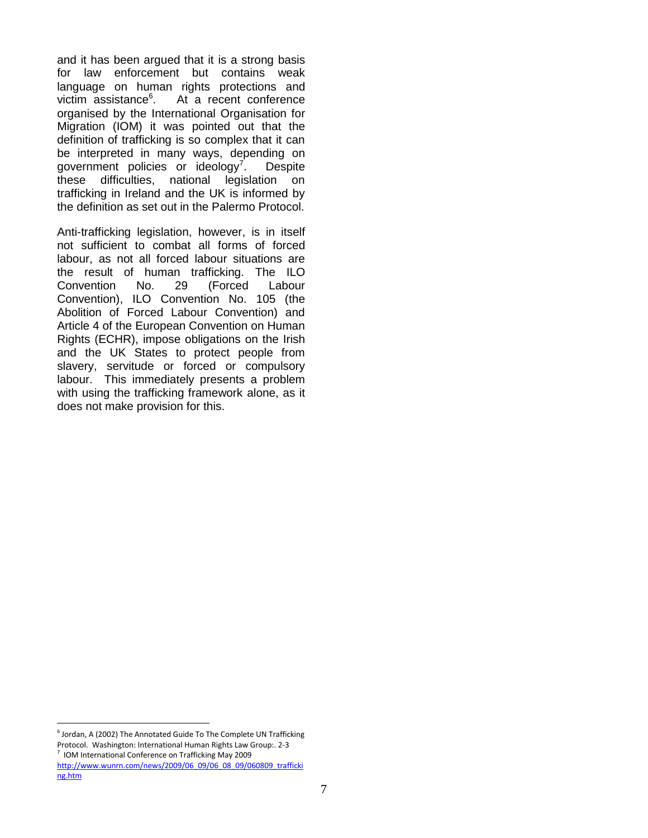and it has been argued that it is a strong basis for law enforcement but contains weak language on human rights protections and victim assistance<sup>6</sup>. . At a recent conference organised by the International Organisation for Migration (IOM) it was pointed out that the definition of trafficking is so complex that it can be interpreted in many ways, depending on government policies or ideology<sup>7</sup>. . Despite these difficulties, national legislation on trafficking in Ireland and the UK is informed by the definition as set out in the Palermo Protocol.

Anti-trafficking legislation, however, is in itself not sufficient to combat all forms of forced labour, as not all forced labour situations are the result of human trafficking. The ILO Convention No. 29 (Forced Labour Convention), ILO Convention No. 105 (the Abolition of Forced Labour Convention) and Article 4 of the European Convention on Human Rights (ECHR), impose obligations on the Irish and the UK States to protect people from slavery, servitude or forced or compulsory labour. This immediately presents a problem with using the trafficking framework alone, as it does not make provision for this.

 $^6$  Jordan, A (2002) The Annotated Guide To The Complete UN Trafficking Protocol. Washington: International Human Rights Law Group:. 2-3 7 IOM International Conference on Trafficking May 2009 [http://www.wunrn.com/news/2009/06\\_09/06\\_08\\_09/060809\\_trafficki](http://www.wunrn.com/news/2009/06_09/06_08_09/060809_trafficking.htm) [ng.htm](http://www.wunrn.com/news/2009/06_09/06_08_09/060809_trafficking.htm)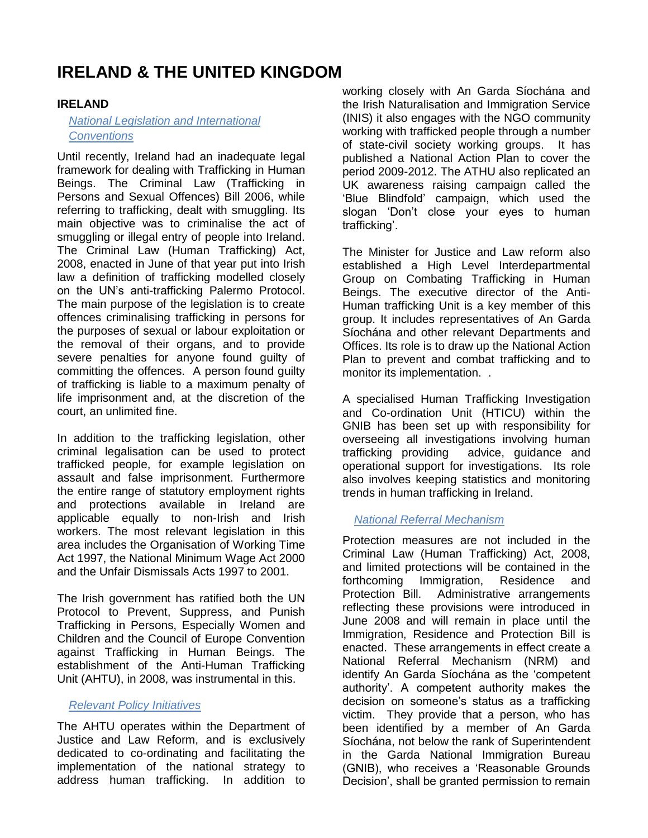## **IRELAND & THE UNITED KINGDOM**

### **IRELAND**

#### *National Legislation and International Conventions*

Until recently, Ireland had an inadequate legal framework for dealing with Trafficking in Human Beings. The Criminal Law (Trafficking in Persons and Sexual Offences) Bill 2006, while referring to trafficking, dealt with smuggling. Its main objective was to criminalise the act of smuggling or illegal entry of people into Ireland. The Criminal Law (Human Trafficking) Act, 2008, enacted in June of that year put into Irish law a definition of trafficking modelled closely on the UN"s anti-trafficking Palermo Protocol. The main purpose of the legislation is to create offences criminalising trafficking in persons for the purposes of sexual or labour exploitation or the removal of their organs, and to provide severe penalties for anyone found guilty of committing the offences. A person found guilty of trafficking is liable to a maximum penalty of life imprisonment and, at the discretion of the court, an unlimited fine.

In addition to the trafficking legislation, other criminal legalisation can be used to protect trafficked people, for example legislation on assault and false imprisonment. Furthermore the entire range of statutory employment rights and protections available in Ireland are applicable equally to non-Irish and Irish workers. The most relevant legislation in this area includes the Organisation of Working Time Act 1997, the National Minimum Wage Act 2000 and the Unfair Dismissals Acts 1997 to 2001.

The Irish government has ratified both the UN Protocol to Prevent, Suppress, and Punish Trafficking in Persons, Especially Women and Children and the Council of Europe Convention against Trafficking in Human Beings. The establishment of the Anti-Human Trafficking Unit (AHTU), in 2008, was instrumental in this.

#### *Relevant Policy Initiatives*

The AHTU operates within the Department of Justice and Law Reform, and is exclusively dedicated to co-ordinating and facilitating the implementation of the national strategy to address human trafficking. In addition to

working closely with An Garda Síochána and the Irish Naturalisation and Immigration Service (INIS) it also engages with the NGO community working with trafficked people through a number of state-civil society working groups. It has published a National Action Plan to cover the period 2009-2012. The ATHU also replicated an UK awareness raising campaign called the "Blue Blindfold" campaign, which used the slogan "Don"t close your eyes to human trafficking".

The Minister for Justice and Law reform also established a High Level Interdepartmental Group on Combating Trafficking in Human Beings. The executive director of the Anti-Human trafficking Unit is a key member of this group. It includes representatives of An Garda Síochána and other relevant Departments and Offices. Its role is to draw up the National Action Plan to prevent and combat trafficking and to monitor its implementation. .

A specialised Human Trafficking Investigation and Co-ordination Unit (HTICU) within the GNIB has been set up with responsibility for overseeing all investigations involving human trafficking providing advice, guidance and operational support for investigations. Its role also involves keeping statistics and monitoring trends in human trafficking in Ireland.

## *National Referral Mechanism*

Protection measures are not included in the Criminal Law (Human Trafficking) Act, 2008, and limited protections will be contained in the forthcoming Immigration, Residence and Protection Bill. Administrative arrangements reflecting these provisions were introduced in June 2008 and will remain in place until the Immigration, Residence and Protection Bill is enacted. These arrangements in effect create a National Referral Mechanism (NRM) and identify An Garda Síochána as the "competent authority". A competent authority makes the decision on someone"s status as a trafficking victim. They provide that a person, who has been identified by a member of An Garda Síochána, not below the rank of Superintendent in the Garda National Immigration Bureau (GNIB), who receives a "Reasonable Grounds Decision", shall be granted permission to remain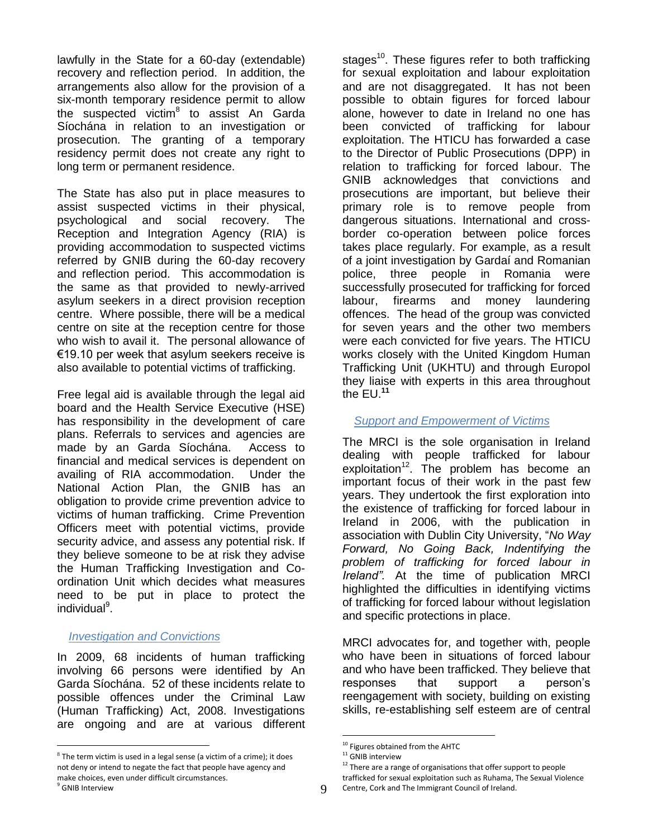lawfully in the State for a 60-day (extendable) recovery and reflection period. In addition, the arrangements also allow for the provision of a six-month temporary residence permit to allow the suspected victim<sup>8</sup> to assist An Garda Síochána in relation to an investigation or prosecution. The granting of a temporary residency permit does not create any right to long term or permanent residence.

The State has also put in place measures to assist suspected victims in their physical, psychological and social recovery. The Reception and Integration Agency (RIA) is providing accommodation to suspected victims referred by GNIB during the 60-day recovery and reflection period. This accommodation is the same as that provided to newly-arrived asylum seekers in a direct provision reception centre. Where possible, there will be a medical centre on site at the reception centre for those who wish to avail it. The personal allowance of €19.10 per week that asylum seekers receive is also available to potential victims of trafficking.

Free legal aid is available through the legal aid board and the Health Service Executive (HSE) has responsibility in the development of care plans. Referrals to services and agencies are made by an Garda Síochána. Access to financial and medical services is dependent on availing of RIA accommodation. Under the National Action Plan, the GNIB has an obligation to provide crime prevention advice to victims of human trafficking. Crime Prevention Officers meet with potential victims, provide security advice, and assess any potential risk. If they believe someone to be at risk they advise the Human Trafficking Investigation and Coordination Unit which decides what measures need to be put in place to protect the individual<sup>9</sup>.

#### *Investigation and Convictions*

In 2009, 68 incidents of human trafficking involving 66 persons were identified by An Garda Síochána. 52 of these incidents relate to possible offences under the Criminal Law (Human Trafficking) Act, 2008. Investigations are ongoing and are at various different

stages<sup>10</sup>. These figures refer to both trafficking for sexual exploitation and labour exploitation and are not disaggregated. It has not been possible to obtain figures for forced labour alone, however to date in Ireland no one has been convicted of trafficking for labour exploitation. The HTICU has forwarded a case to the Director of Public Prosecutions (DPP) in relation to trafficking for forced labour. The GNIB acknowledges that convictions and prosecutions are important, but believe their primary role is to remove people from dangerous situations. International and crossborder co-operation between police forces takes place regularly. For example, as a result of a joint investigation by Gardaí and Romanian police, three people in Romania were successfully prosecuted for trafficking for forced labour, firearms and money laundering offences. The head of the group was convicted for seven years and the other two members were each convicted for five years. The HTICU works closely with the United Kingdom Human Trafficking Unit (UKHTU) and through Europol they liaise with experts in this area throughout the EU. **11**

#### *Support and Empowerment of Victims*

The MRCI is the sole organisation in Ireland dealing with people trafficked for labour  $exploitation<sup>12</sup>$ . The problem has become an important focus of their work in the past few years. They undertook the first exploration into the existence of trafficking for forced labour in Ireland in 2006, with the publication in association with Dublin City University, "*No Way Forward, No Going Back, Indentifying the problem of trafficking for forced labour in Ireland".* At the time of publication MRCI highlighted the difficulties in identifying victims of trafficking for forced labour without legislation and specific protections in place.

MRCI advocates for, and together with, people who have been in situations of forced labour and who have been trafficked. They believe that responses that support a person"s reengagement with society, building on existing skills, re-establishing self esteem are of central

 $\overline{a}$  $8$  The term victim is used in a legal sense (a victim of a crime); it does not deny or intend to negate the fact that people have agency and make choices, even under difficult circumstances.

<sup>&</sup>lt;sup>10</sup> Figures obtained from the AHTC

 $11$  GNIB interview

 $12$  There are a range of organisations that offer support to people trafficked for sexual exploitation such as Ruhama, The Sexual Violence Centre, Cork and The Immigrant Council of Ireland.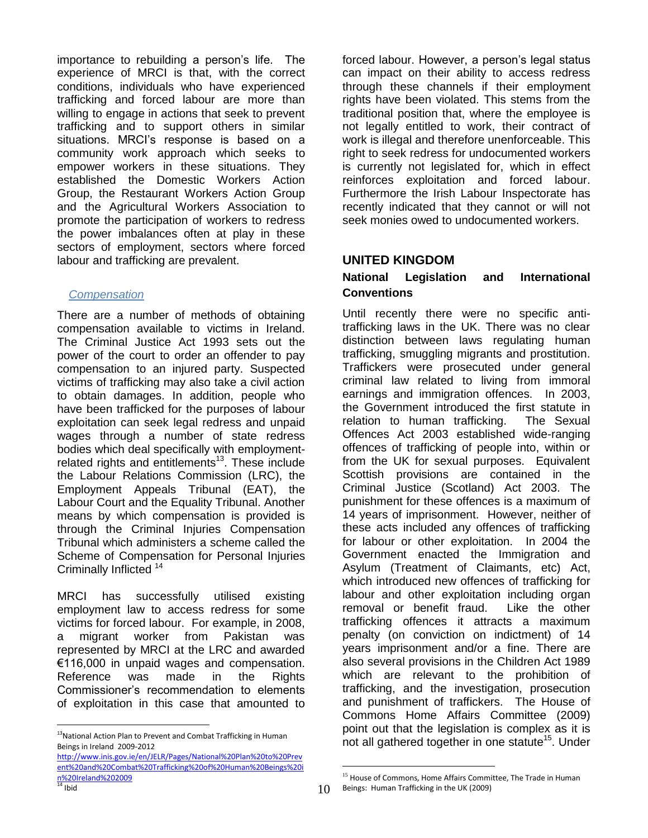importance to rebuilding a person's life. The experience of MRCI is that, with the correct conditions, individuals who have experienced trafficking and forced labour are more than willing to engage in actions that seek to prevent trafficking and to support others in similar situations. MRCI's response is based on a community work approach which seeks to empower workers in these situations. They established the Domestic Workers Action Group, the Restaurant Workers Action Group and the Agricultural Workers Association to promote the participation of workers to redress the power imbalances often at play in these sectors of employment, sectors where forced labour and trafficking are prevalent.

### *Compensation*

There are a number of methods of obtaining compensation available to victims in Ireland. The Criminal Justice Act 1993 sets out the power of the court to order an offender to pay compensation to an injured party. Suspected victims of trafficking may also take a civil action to obtain damages. In addition, people who have been trafficked for the purposes of labour exploitation can seek legal redress and unpaid wages through a number of state redress bodies which deal specifically with employmentrelated rights and entitlements $^{13}$ . These include the Labour Relations Commission (LRC), the Employment Appeals Tribunal (EAT), the Labour Court and the Equality Tribunal. Another means by which compensation is provided is through the Criminal Injuries Compensation Tribunal which administers a scheme called the Scheme of Compensation for Personal Injuries Criminally Inflicted <sup>14</sup>

MRCI has successfully utilised existing employment law to access redress for some victims for forced labour. For example, in 2008, a migrant worker from Pakistan was represented by MRCI at the LRC and awarded €116,000 in unpaid wages and compensation. Reference was made in the Rights Commissioner"s recommendation to elements of exploitation in this case that amounted to

 $\overline{a}$ 

forced labour. However, a person's legal status can impact on their ability to access redress through these channels if their employment rights have been violated. This stems from the traditional position that, where the employee is not legally entitled to work, their contract of work is illegal and therefore unenforceable. This right to seek redress for undocumented workers is currently not legislated for, which in effect reinforces exploitation and forced labour. Furthermore the Irish Labour Inspectorate has recently indicated that they cannot or will not seek monies owed to undocumented workers.

## <span id="page-9-0"></span>**UNITED KINGDOM**

### **National Legislation and International Conventions**

Until recently there were no specific antitrafficking laws in the UK. There was no clear distinction between laws regulating human trafficking, smuggling migrants and prostitution. Traffickers were prosecuted under general criminal law related to living from immoral earnings and immigration offences. In 2003, the Government introduced the first statute in relation to human trafficking. The Sexual Offences Act 2003 established wide-ranging offences of trafficking of people into, within or from the UK for sexual purposes. Equivalent Scottish provisions are contained in the Criminal Justice (Scotland) Act 2003. The punishment for these offences is a maximum of 14 years of imprisonment. However, neither of these acts included any offences of trafficking for labour or other exploitation. In 2004 the Government enacted the Immigration and Asylum (Treatment of Claimants, etc) Act, which introduced new offences of trafficking for labour and other exploitation including organ removal or benefit fraud. Like the other trafficking offences it attracts a maximum penalty (on conviction on indictment) of 14 years imprisonment and/or a fine. There are also several provisions in the Children Act 1989 which are relevant to the prohibition of trafficking, and the investigation, prosecution and punishment of traffickers. The House of Commons Home Affairs Committee (2009) point out that the legislation is complex as it is not all gathered together in one statute<sup>15</sup>. Under

<sup>&</sup>lt;sup>13</sup>National Action Plan to Prevent and Combat Trafficking in Human Beings in Ireland 2009-2012

[http://www.inis.gov.ie/en/JELR/Pages/National%20Plan%20to%20Prev](http://www.inis.gov.ie/en/JELR/Pages/National%20Plan%20to%20Prevent%20and%20Combat%20Trafficking%20of%20Human%20Beings%20in%20Ireland%202009) [ent%20and%20Combat%20Trafficking%20of%20Human%20Beings%20i](http://www.inis.gov.ie/en/JELR/Pages/National%20Plan%20to%20Prevent%20and%20Combat%20Trafficking%20of%20Human%20Beings%20in%20Ireland%202009) [n%20Ireland%202009](http://www.inis.gov.ie/en/JELR/Pages/National%20Plan%20to%20Prevent%20and%20Combat%20Trafficking%20of%20Human%20Beings%20in%20Ireland%202009)  $\frac{1}{14}$  Ibid

 $\overline{a}$ <sup>15</sup> House of Commons, Home Affairs Committee, The Trade in Human Beings: Human Trafficking in the UK (2009)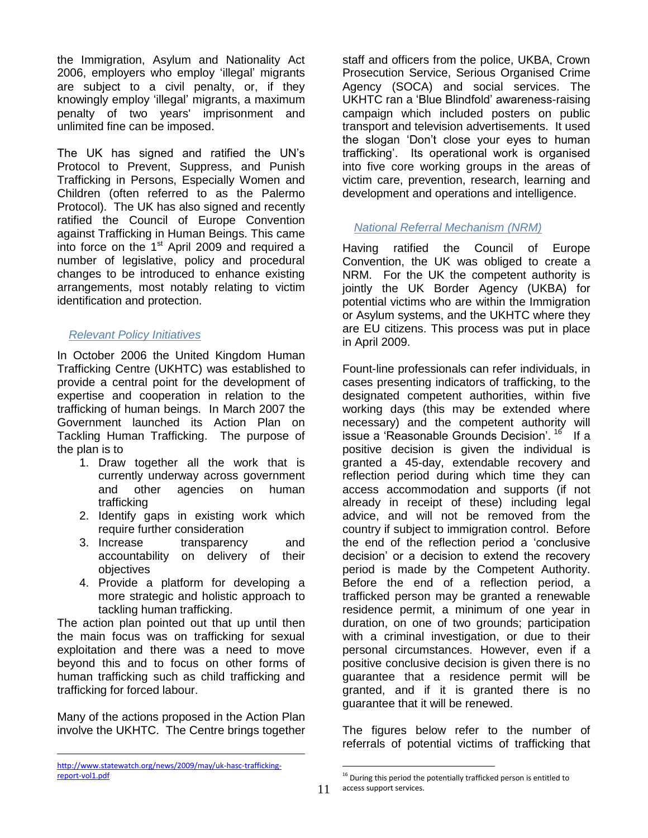the Immigration, Asylum and Nationality Act 2006, employers who employ "illegal" migrants are subject to a civil penalty, or, if they knowingly employ "illegal" migrants, a maximum penalty of two years' imprisonment and unlimited fine can be imposed.

The UK has signed and ratified the UN"s Protocol to Prevent, Suppress, and Punish Trafficking in Persons, Especially Women and Children (often referred to as the Palermo Protocol). The UK has also signed and recently ratified the Council of Europe Convention against Trafficking in Human Beings. This came into force on the  $1<sup>st</sup>$  April 2009 and required a number of legislative, policy and procedural changes to be introduced to enhance existing arrangements, most notably relating to victim identification and protection.

#### *Relevant Policy Initiatives*

In October 2006 the United Kingdom Human Trafficking Centre (UKHTC) was established to provide a central point for the development of expertise and cooperation in relation to the trafficking of human beings. In March 2007 the Government launched its Action Plan on Tackling Human Trafficking. The purpose of the plan is to

- 1. Draw together all the work that is currently underway across government and other agencies on human trafficking
- 2. Identify gaps in existing work which require further consideration
- 3. Increase transparency and accountability on delivery of their objectives
- 4. Provide a platform for developing a more strategic and holistic approach to tackling human trafficking.

The action plan pointed out that up until then the main focus was on trafficking for sexual exploitation and there was a need to move beyond this and to focus on other forms of human trafficking such as child trafficking and trafficking for forced labour.

Many of the actions proposed in the Action Plan involve the UKHTC. The Centre brings together

 $\overline{a}$ 

staff and officers from the police, UKBA, Crown Prosecution Service, Serious Organised Crime Agency (SOCA) and social services. The UKHTC ran a "Blue Blindfold" awareness-raising campaign which included posters on public transport and television advertisements. It used the slogan "Don"t close your eyes to human trafficking". Its operational work is organised into five core working groups in the areas of victim care, prevention, research, learning and development and operations and intelligence.

#### *National Referral Mechanism (NRM)*

Having ratified the Council of Europe Convention, the UK was obliged to create a NRM. For the UK the competent authority is jointly the UK Border Agency (UKBA) for potential victims who are within the Immigration or Asylum systems, and the UKHTC where they are EU citizens. This process was put in place in April 2009.

Fount-line professionals can refer individuals, in cases presenting indicators of trafficking, to the designated competent authorities, within five working days (this may be extended where necessary) and the competent authority will issue a 'Reasonable Grounds Decision'. <sup>16</sup> If a positive decision is given the individual is granted a 45-day, extendable recovery and reflection period during which time they can access accommodation and supports (if not already in receipt of these) including legal advice, and will not be removed from the country if subject to immigration control. Before the end of the reflection period a "conclusive decision" or a decision to extend the recovery period is made by the Competent Authority. Before the end of a reflection period, a trafficked person may be granted a renewable residence permit, a minimum of one year in duration, on one of two grounds; participation with a criminal investigation, or due to their personal circumstances. However, even if a positive conclusive decision is given there is no guarantee that a residence permit will be granted, and if it is granted there is no guarantee that it will be renewed.

The figures below refer to the number of referrals of potential victims of trafficking that

[http://www.statewatch.org/news/2009/may/uk-hasc-trafficking](http://www.statewatch.org/news/2009/may/uk-hasc-trafficking-report-vol1.pdf)[report-vol1.pdf](http://www.statewatch.org/news/2009/may/uk-hasc-trafficking-report-vol1.pdf)

 $16$  During this period the potentially trafficked person is entitled to access support services.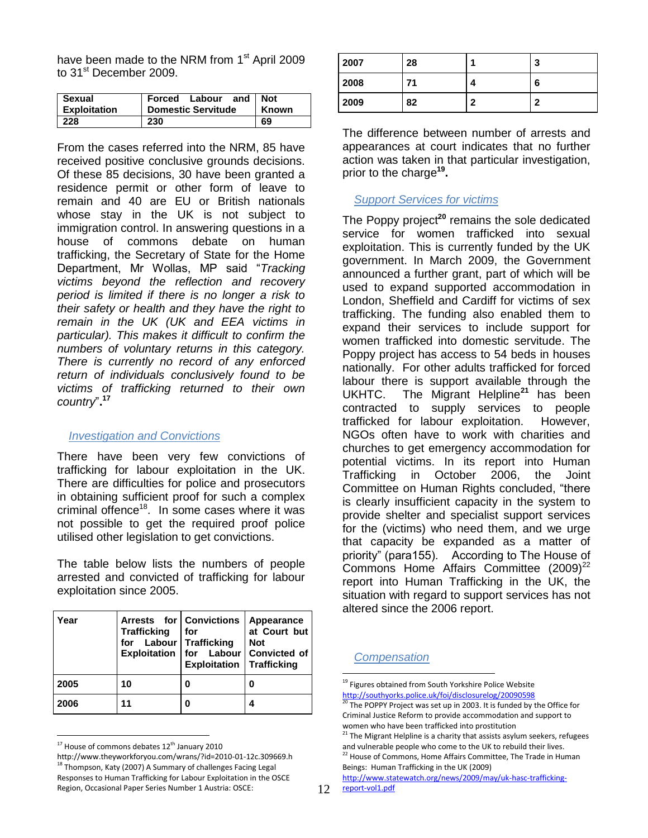have been made to the NRM from 1<sup>st</sup> April 2009 to 31<sup>st</sup> December 2009.

| Sexual<br><b>Exploitation</b> | Forced Labour<br>and<br><b>Domestic Servitude</b> | <b>Not</b><br>Known |
|-------------------------------|---------------------------------------------------|---------------------|
| 228                           | 230                                               | 69                  |

From the cases referred into the NRM, 85 have received positive conclusive grounds decisions. Of these 85 decisions, 30 have been granted a residence permit or other form of leave to remain and 40 are EU or British nationals whose stay in the UK is not subject to immigration control. In answering questions in a house of commons debate on human trafficking, the Secretary of State for the Home Department, Mr Wollas, MP said "*Tracking victims beyond the reflection and recovery period is limited if there is no longer a risk to their safety or health and they have the right to remain in the UK (UK and EEA victims in particular). This makes it difficult to confirm the numbers of voluntary returns in this category. There is currently no record of any enforced return of individuals conclusively found to be victims of trafficking returned to their own country*"**. 17**

#### *Investigation and Convictions*

There have been very few convictions of trafficking for labour exploitation in the UK. There are difficulties for police and prosecutors in obtaining sufficient proof for such a complex criminal offence<sup>18</sup>. In some cases where it was not possible to get the required proof police utilised other legislation to get convictions.

The table below lists the numbers of people arrested and convicted of trafficking for labour exploitation since 2005.

| Year | Arrests for Convictions<br><b>Trafficking</b><br>for Labour Trafficking | l for<br><b>Exploitation Trafficking</b> | Appearance<br>at Court but<br><b>Not</b><br>Exploitation   for Labour   Convicted of |
|------|-------------------------------------------------------------------------|------------------------------------------|--------------------------------------------------------------------------------------|
| 2005 | 10                                                                      | 0                                        |                                                                                      |
| 2006 | 11                                                                      | 0                                        |                                                                                      |

 $\overline{a}$  $17$  House of commons debates  $12<sup>th</sup>$  January 2010

http://www.theyworkforyou.com/wrans/?id=2010-01-12c.309669.h  $^{18}$  Thompson, Katy (2007) A Summary of challenges Facing Legal Responses to Human Trafficking for Labour Exploitation in the OSCE Region, Occasional Paper Series Number 1 Austria: OSCE:

| 2007 | 28 |   | 3 |
|------|----|---|---|
| 2008 | 71 | 4 | 6 |
| 2009 | 82 | c | ◠ |

The difference between number of arrests and appearances at court indicates that no further action was taken in that particular investigation, prior to the charge**<sup>19</sup> .**

#### *Support Services for victims*

The Poppy project<sup>20</sup> remains the sole dedicated service for women trafficked into sexual exploitation. This is currently funded by the UK government. In March 2009, the Government announced a further grant, part of which will be used to expand supported accommodation in London, Sheffield and Cardiff for victims of sex trafficking. The funding also enabled them to expand their services to include support for women trafficked into domestic servitude. The Poppy project has access to 54 beds in houses nationally. For other adults trafficked for forced labour there is support available through the UKHTC. The Migrant Helpline**<sup>21</sup>** has been contracted to supply services to people trafficked for labour exploitation. However, NGOs often have to work with charities and churches to get emergency accommodation for potential victims. In its report into Human Trafficking in October 2006, the Joint Committee on Human Rights concluded, "there is clearly insufficient capacity in the system to provide shelter and specialist support services for the (victims) who need them, and we urge that capacity be expanded as a matter of priority" (para155). According to The House of Commons Home Affairs Committee  $(2009)^{22}$ report into Human Trafficking in the UK, the situation with regard to support services has not altered since the 2006 report.

#### *Compensation*

12 [report-vol1.pdf](http://www.statewatch.org/news/2009/may/uk-hasc-trafficking-report-vol1.pdf) [http://www.statewatch.org/news/2009/may/uk-hasc-trafficking-](http://www.statewatch.org/news/2009/may/uk-hasc-trafficking-report-vol1.pdf)

<sup>&</sup>lt;sup>19</sup> Figures obtained from South Yorkshire Police Website <http://southyorks.police.uk/foi/disclosurelog/20090598>

The POPPY Project was set up in 2003. It is funded by the Office for Criminal Justice Reform to provide accommodation and support to women who have been trafficked into prostitution

 $21$  The Migrant Helpline is a charity that assists asylum seekers, refugees and vulnerable people who come to the UK to rebuild their lives.

<sup>&</sup>lt;sup>22</sup> House of Commons, Home Affairs Committee, The Trade in Human Beings: Human Trafficking in the UK (2009)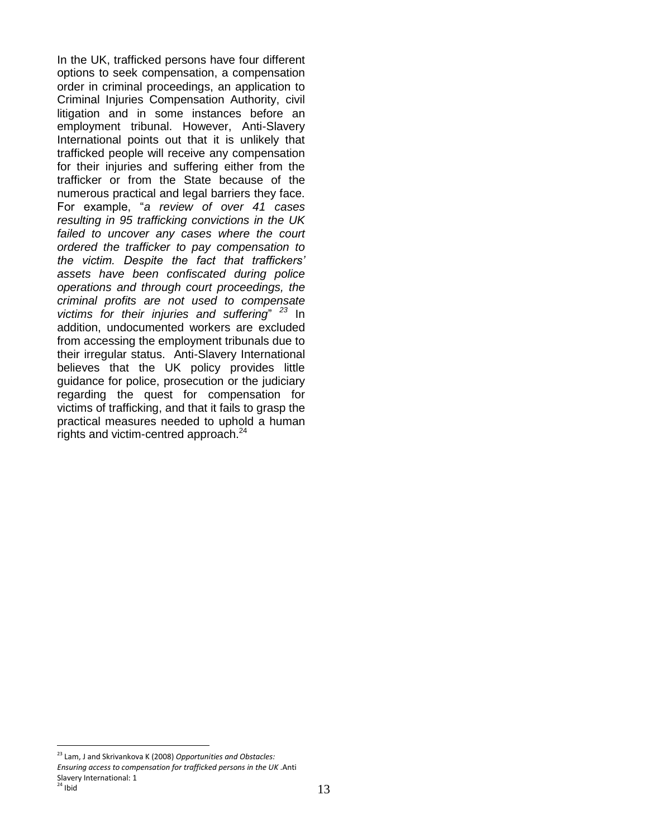In the UK, trafficked persons have four different options to seek compensation, a compensation order in criminal proceedings, an application to Criminal Injuries Compensation Authority, civil litigation and in some instances before an employment tribunal. However, Anti-Slavery International points out that it is unlikely that trafficked people will receive any compensation for their injuries and suffering either from the trafficker or from the State because of the numerous practical and legal barriers they face. For example, "*a review of over 41 cases resulting in 95 trafficking convictions in the UK failed to uncover any cases where the court ordered the trafficker to pay compensation to the victim. Despite the fact that traffickers' assets have been confiscated during police operations and through court proceedings, the criminal profits are not used to compensate victims for their injuries and suffering*" *<sup>23</sup>* In addition, undocumented workers are excluded from accessing the employment tribunals due to their irregular status. Anti-Slavery International believes that the UK policy provides little guidance for police, prosecution or the judiciary regarding the quest for compensation for victims of trafficking, and that it fails to grasp the practical measures needed to uphold a human rights and victim-centred approach.<sup>24</sup>

<sup>23</sup> Lam, J and Skrivankova K (2008) *Opportunities and Obstacles:* 

*Ensuring access to compensation for trafficked persons in the UK* .Anti Slavery International: 1  $^{24}$  Ibid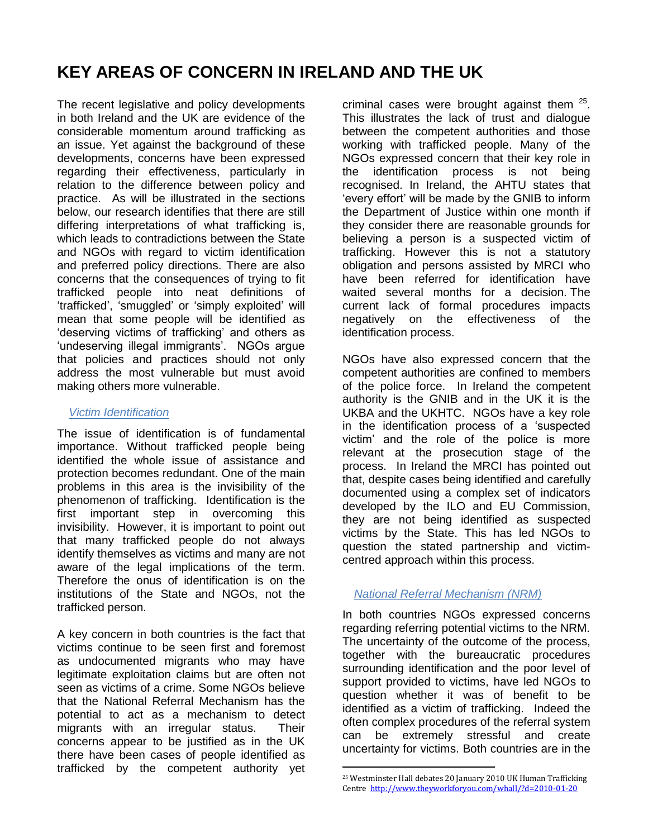# **KEY AREAS OF CONCERN IN IRELAND AND THE UK**

The recent legislative and policy developments in both Ireland and the UK are evidence of the considerable momentum around trafficking as an issue. Yet against the background of these developments, concerns have been expressed regarding their effectiveness, particularly in relation to the difference between policy and practice. As will be illustrated in the sections below, our research identifies that there are still differing interpretations of what trafficking is, which leads to contradictions between the State and NGOs with regard to victim identification and preferred policy directions. There are also concerns that the consequences of trying to fit trafficked people into neat definitions of "trafficked", "smuggled" or "simply exploited" will mean that some people will be identified as "deserving victims of trafficking" and others as 'undeserving illegal immigrants'. NGOs argue that policies and practices should not only address the most vulnerable but must avoid making others more vulnerable.

#### *Victim Identification*

The issue of identification is of fundamental importance. Without trafficked people being identified the whole issue of assistance and protection becomes redundant. One of the main problems in this area is the invisibility of the phenomenon of trafficking. Identification is the first important step in overcoming this invisibility. However, it is important to point out that many trafficked people do not always identify themselves as victims and many are not aware of the legal implications of the term. Therefore the onus of identification is on the institutions of the State and NGOs, not the trafficked person.

A key concern in both countries is the fact that victims continue to be seen first and foremost as undocumented migrants who may have legitimate exploitation claims but are often not seen as victims of a crime. Some NGOs believe that the National Referral Mechanism has the potential to act as a mechanism to detect migrants with an irregular status. Their concerns appear to be justified as in the UK there have been cases of people identified as trafficked by the competent authority yet

criminal cases were brought against them  $25$ . This illustrates the lack of trust and dialogue between the competent authorities and those working with trafficked people. Many of the NGOs expressed concern that their key role in the identification process is not being recognised. In Ireland, the AHTU states that "every effort" will be made by the GNIB to inform the Department of Justice within one month if they consider there are reasonable grounds for believing a person is a suspected victim of trafficking. However this is not a statutory obligation and persons assisted by MRCI who have been referred for identification have waited several months for a decision. The current lack of formal procedures impacts negatively on the effectiveness of the identification process.

NGOs have also expressed concern that the competent authorities are confined to members of the police force. In Ireland the competent authority is the GNIB and in the UK it is the UKBA and the UKHTC. NGOs have a key role in the identification process of a "suspected victim" and the role of the police is more relevant at the prosecution stage of the process. In Ireland the MRCI has pointed out that, despite cases being identified and carefully documented using a complex set of indicators developed by the ILO and EU Commission, they are not being identified as suspected victims by the State. This has led NGOs to question the stated partnership and victimcentred approach within this process.

#### *National Referral Mechanism (NRM)*

In both countries NGOs expressed concerns regarding referring potential victims to the NRM. The uncertainty of the outcome of the process, together with the bureaucratic procedures surrounding identification and the poor level of support provided to victims, have led NGOs to question whether it was of benefit to be identified as a victim of trafficking. Indeed the often complex procedures of the referral system can be extremely stressful and create uncertainty for victims. Both countries are in the

<sup>25</sup> Westminster Hall debates 20 January 2010 UK Human Trafficking Centre<http://www.theyworkforyou.com/whall/?d=2010-01-20>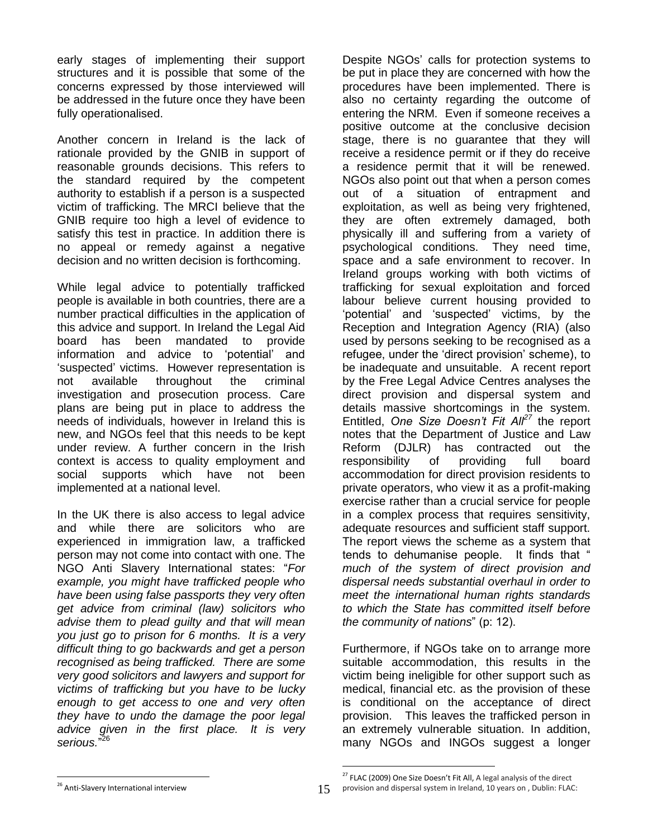early stages of implementing their support structures and it is possible that some of the concerns expressed by those interviewed will be addressed in the future once they have been fully operationalised.

Another concern in Ireland is the lack of rationale provided by the GNIB in support of reasonable grounds decisions. This refers to the standard required by the competent authority to establish if a person is a suspected victim of trafficking. The MRCI believe that the GNIB require too high a level of evidence to satisfy this test in practice. In addition there is no appeal or remedy against a negative decision and no written decision is forthcoming.

While legal advice to potentially trafficked people is available in both countries, there are a number practical difficulties in the application of this advice and support. In Ireland the Legal Aid board has been mandated to provide information and advice to "potential" and "suspected" victims. However representation is not available throughout the criminal investigation and prosecution process. Care plans are being put in place to address the needs of individuals, however in Ireland this is new, and NGOs feel that this needs to be kept under review. A further concern in the Irish context is access to quality employment and social supports which have not been implemented at a national level.

In the UK there is also access to legal advice and while there are solicitors who are experienced in immigration law, a trafficked person may not come into contact with one. The NGO Anti Slavery International states: "*For example, you might have trafficked people who have been using false passports they very often get advice from criminal (law) solicitors who advise them to plead guilty and that will mean you just go to prison for 6 months. It is a very difficult thing to go backwards and get a person recognised as being trafficked. There are some very good solicitors and lawyers and support for victims of trafficking but you have to be lucky enough to get access to one and very often they have to undo the damage the poor legal advice given in the first place. It is very serious.*" 26

Despite NGOs" calls for protection systems to be put in place they are concerned with how the procedures have been implemented. There is also no certainty regarding the outcome of entering the NRM. Even if someone receives a positive outcome at the conclusive decision stage, there is no guarantee that they will receive a residence permit or if they do receive a residence permit that it will be renewed. NGOs also point out that when a person comes out of a situation of entrapment and exploitation, as well as being very frightened, they are often extremely damaged, both physically ill and suffering from a variety of psychological conditions. They need time, space and a safe environment to recover. In Ireland groups working with both victims of trafficking for sexual exploitation and forced labour believe current housing provided to 'potential' and 'suspected' victims, by the Reception and Integration Agency (RIA) (also used by persons seeking to be recognised as a refugee, under the "direct provision" scheme), to be inadequate and unsuitable. A recent report by the Free Legal Advice Centres analyses the direct provision and dispersal system and details massive shortcomings in the system. Entitled, *One Size Doesn't Fit All<sup>27</sup>* the report notes that the Department of Justice and Law Reform (DJLR) has contracted out the responsibility of providing full board accommodation for direct provision residents to private operators, who view it as a profit-making exercise rather than a crucial service for people in a complex process that requires sensitivity, adequate resources and sufficient staff support. The report views the scheme as a system that tends to dehumanise people. It finds that " *much of the system of direct provision and dispersal needs substantial overhaul in order to meet the international human rights standards to which the State has committed itself before the community of nations*" (p: 12).

Furthermore, if NGOs take on to arrange more suitable accommodation, this results in the victim being ineligible for other support such as medical, financial etc. as the provision of these is conditional on the acceptance of direct provision. This leaves the trafficked person in an extremely vulnerable situation. In addition, many NGOs and INGOs suggest a longer

 $\overline{a}$ <sup>26</sup> Anti-Slavery International interview

 $27$  FLAC (2009) One Size Doesn't Fit All, A legal analysis of the direct

provision and dispersal system in Ireland, 10 years on , Dublin: FLAC: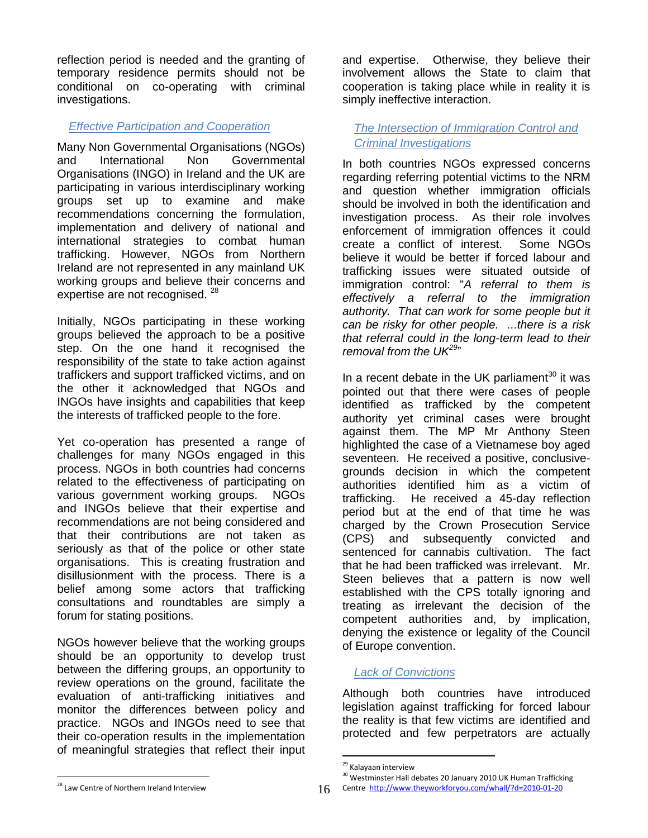reflection period is needed and the granting of temporary residence permits should not be conditional on co-operating with criminal investigations.

#### *Effective Participation and Cooperation*

Many Non Governmental Organisations (NGOs) and International Non Governmental Organisations (INGO) in Ireland and the UK are participating in various interdisciplinary working groups set up to examine and make recommendations concerning the formulation, implementation and delivery of national and international strategies to combat human trafficking. However, NGOs from Northern Ireland are not represented in any mainland UK working groups and believe their concerns and expertise are not recognised. <sup>28</sup>

Initially, NGOs participating in these working groups believed the approach to be a positive step. On the one hand it recognised the responsibility of the state to take action against traffickers and support trafficked victims, and on the other it acknowledged that NGOs and INGOs have insights and capabilities that keep the interests of trafficked people to the fore.

Yet co-operation has presented a range of challenges for many NGOs engaged in this process. NGOs in both countries had concerns related to the effectiveness of participating on various government working groups. NGOs and INGOs believe that their expertise and recommendations are not being considered and that their contributions are not taken as seriously as that of the police or other state organisations. This is creating frustration and disillusionment with the process. There is a belief among some actors that trafficking consultations and roundtables are simply a forum for stating positions.

NGOs however believe that the working groups should be an opportunity to develop trust between the differing groups, an opportunity to review operations on the ground, facilitate the evaluation of anti-trafficking initiatives and monitor the differences between policy and practice. NGOs and INGOs need to see that their co-operation results in the implementation of meaningful strategies that reflect their input

and expertise. Otherwise, they believe their involvement allows the State to claim that cooperation is taking place while in reality it is simply ineffective interaction.

*The Intersection of Immigration Control and Criminal Investigations* 

In both countries NGOs expressed concerns regarding referring potential victims to the NRM and question whether immigration officials should be involved in both the identification and investigation process. As their role involves enforcement of immigration offences it could create a conflict of interest. Some NGOs believe it would be better if forced labour and trafficking issues were situated outside of immigration control: "*A referral to them is effectively a referral to the immigration authority. That can work for some people but it can be risky for other people. ...there is a risk that referral could in the long-term lead to their removal from the UK<sup>29</sup>*"

In a recent debate in the UK parliament $30$  it was pointed out that there were cases of people identified as trafficked by the competent authority yet criminal cases were brought against them. The MP Mr Anthony Steen highlighted the case of a Vietnamese boy aged seventeen. He received a positive, conclusivegrounds decision in which the competent authorities identified him as a victim of trafficking. He received a 45-day reflection period but at the end of that time he was charged by the Crown Prosecution Service (CPS) and subsequently convicted and sentenced for cannabis cultivation. The fact that he had been trafficked was irrelevant. Mr. Steen believes that a pattern is now well established with the CPS totally ignoring and treating as irrelevant the decision of the competent authorities and, by implication, denying the existence or legality of the Council of Europe convention.

## *Lack of Convictions*

Although both countries have introduced legislation against trafficking for forced labour the reality is that few victims are identified and protected and few perpetrators are actually

 $\overline{a}$ 

<sup>29</sup> Kalayaan interview

<sup>&</sup>lt;sup>30</sup> Westminster Hall debates 20 January 2010 UK Human Trafficking

Centre<http://www.theyworkforyou.com/whall/?d=2010-01-20>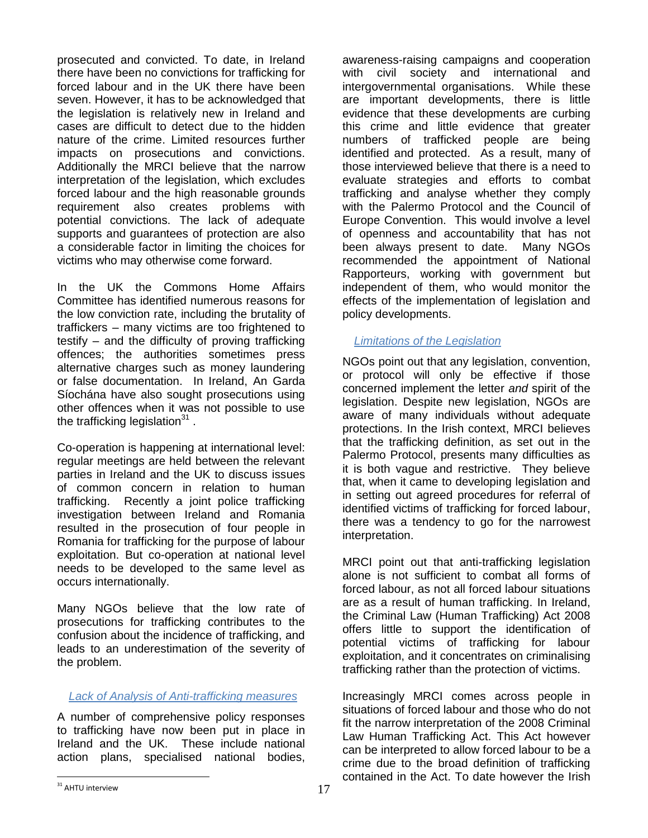prosecuted and convicted. To date, in Ireland there have been no convictions for trafficking for forced labour and in the UK there have been seven. However, it has to be acknowledged that the legislation is relatively new in Ireland and cases are difficult to detect due to the hidden nature of the crime. Limited resources further impacts on prosecutions and convictions. Additionally the MRCI believe that the narrow interpretation of the legislation, which excludes forced labour and the high reasonable grounds requirement also creates problems with potential convictions. The lack of adequate supports and guarantees of protection are also a considerable factor in limiting the choices for victims who may otherwise come forward.

In the UK the Commons Home Affairs Committee has identified numerous reasons for the low conviction rate, including the brutality of traffickers – many victims are too frightened to testify – and the difficulty of proving trafficking offences; the authorities sometimes press alternative charges such as money laundering or false documentation. In Ireland, An Garda Síochána have also sought prosecutions using other offences when it was not possible to use the trafficking legislation<sup>31</sup>.

Co-operation is happening at international level: regular meetings are held between the relevant parties in Ireland and the UK to discuss issues of common concern in relation to human trafficking. Recently a joint police trafficking investigation between Ireland and Romania resulted in the prosecution of four people in Romania for trafficking for the purpose of labour exploitation. But co-operation at national level needs to be developed to the same level as occurs internationally.

Many NGOs believe that the low rate of prosecutions for trafficking contributes to the confusion about the incidence of trafficking, and leads to an underestimation of the severity of the problem.

#### *Lack of Analysis of Anti-trafficking measures*

A number of comprehensive policy responses to trafficking have now been put in place in Ireland and the UK. These include national action plans, specialised national bodies,

awareness-raising campaigns and cooperation with civil society and international and intergovernmental organisations. While these are important developments, there is little evidence that these developments are curbing this crime and little evidence that greater numbers of trafficked people are being identified and protected. As a result, many of those interviewed believe that there is a need to evaluate strategies and efforts to combat trafficking and analyse whether they comply with the Palermo Protocol and the Council of Europe Convention. This would involve a level of openness and accountability that has not been always present to date. Many NGOs recommended the appointment of National Rapporteurs, working with government but independent of them, who would monitor the effects of the implementation of legislation and policy developments.

#### *Limitations of the Legislation*

NGOs point out that any legislation, convention, or protocol will only be effective if those concerned implement the letter *and* spirit of the legislation. Despite new legislation, NGOs are aware of many individuals without adequate protections. In the Irish context, MRCI believes that the trafficking definition, as set out in the Palermo Protocol, presents many difficulties as it is both vague and restrictive. They believe that, when it came to developing legislation and in setting out agreed procedures for referral of identified victims of trafficking for forced labour, there was a tendency to go for the narrowest interpretation.

MRCI point out that anti-trafficking legislation alone is not sufficient to combat all forms of forced labour, as not all forced labour situations are as a result of human trafficking. In Ireland, the Criminal Law (Human Trafficking) Act 2008 offers little to support the identification of potential victims of trafficking for labour exploitation, and it concentrates on criminalising trafficking rather than the protection of victims.

Increasingly MRCI comes across people in situations of forced labour and those who do not fit the narrow interpretation of the 2008 Criminal Law Human Trafficking Act. This Act however can be interpreted to allow forced labour to be a crime due to the broad definition of trafficking contained in the Act. To date however the Irish

 $\overline{a}$ <sup>31</sup> AHTU interview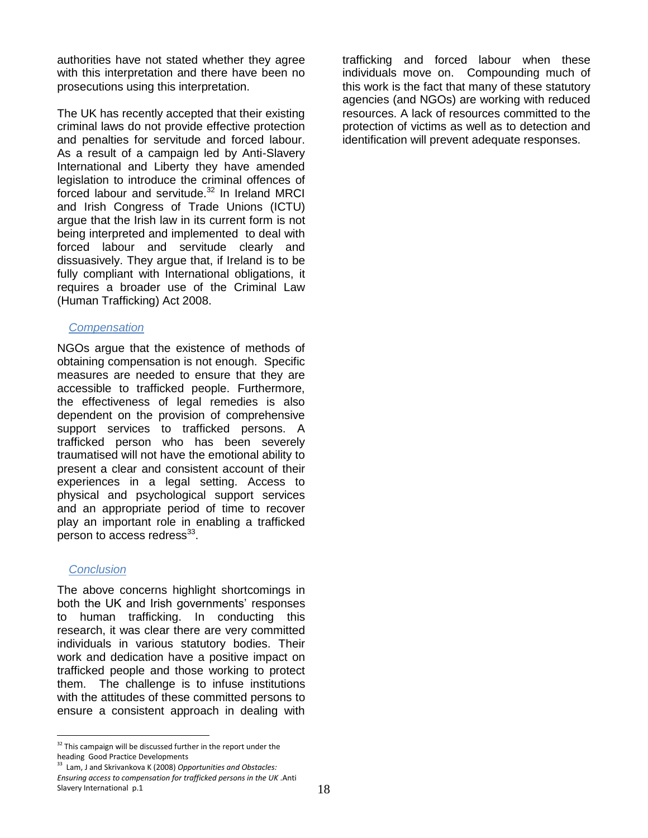authorities have not stated whether they agree with this interpretation and there have been no prosecutions using this interpretation.

The UK has recently accepted that their existing criminal laws do not provide effective protection and penalties for servitude and forced labour. As a result of a campaign led by Anti-Slavery International and Liberty they have amended legislation to introduce the criminal offences of forced labour and servitude.<sup>32</sup> In Ireland MRCI and Irish Congress of Trade Unions (ICTU) argue that the Irish law in its current form is not being interpreted and implemented to deal with forced labour and servitude clearly and dissuasively. They argue that, if Ireland is to be fully compliant with International obligations, it requires a broader use of the Criminal Law (Human Trafficking) Act 2008.

#### *Compensation*

NGOs argue that the existence of methods of obtaining compensation is not enough. Specific measures are needed to ensure that they are accessible to trafficked people. Furthermore, the effectiveness of legal remedies is also dependent on the provision of comprehensive support services to trafficked persons. A trafficked person who has been severely traumatised will not have the emotional ability to present a clear and consistent account of their experiences in a legal setting. Access to physical and psychological support services and an appropriate period of time to recover play an important role in enabling a trafficked person to access redress $^{33}$ .

#### *Conclusion*

 $\overline{a}$ 

The above concerns highlight shortcomings in both the UK and Irish governments' responses to human trafficking. In conducting this research, it was clear there are very committed individuals in various statutory bodies. Their work and dedication have a positive impact on trafficked people and those working to protect them. The challenge is to infuse institutions with the attitudes of these committed persons to ensure a consistent approach in dealing with trafficking and forced labour when these individuals move on. Compounding much of this work is the fact that many of these statutory agencies (and NGOs) are working with reduced resources. A lack of resources committed to the protection of victims as well as to detection and identification will prevent adequate responses.

 $32$  This campaign will be discussed further in the report under the heading Good Practice Developments

<sup>33</sup> Lam, J and Skrivankova K (2008) *Opportunities and Obstacles: Ensuring access to compensation for trafficked persons in the UK* .Anti Slavery International p.1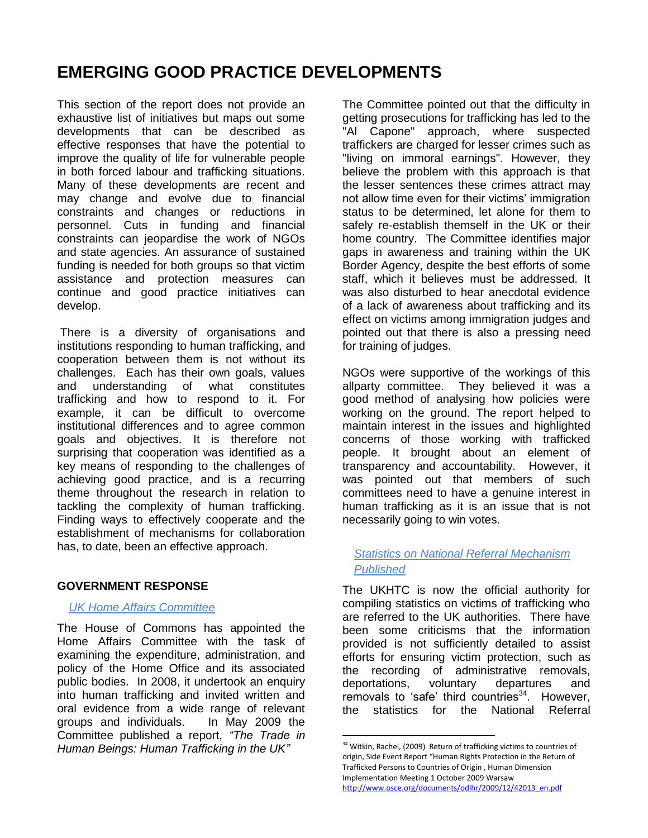## **EMERGING GOOD PRACTICE DEVELOPMENTS**

This section of the report does not provide an exhaustive list of initiatives but maps out some developments that can be described as effective responses that have the potential to improve the quality of life for vulnerable people in both forced labour and trafficking situations. Many of these developments are recent and may change and evolve due to financial constraints and changes or reductions in personnel. Cuts in funding and financial constraints can jeopardise the work of NGOs and state agencies. An assurance of sustained funding is needed for both groups so that victim assistance and protection measures can continue and good practice initiatives can develop.

There is a diversity of organisations and institutions responding to human trafficking, and cooperation between them is not without its challenges. Each has their own goals, values and understanding of what constitutes trafficking and how to respond to it. For example, it can be difficult to overcome institutional differences and to agree common goals and objectives. It is therefore not surprising that cooperation was identified as a key means of responding to the challenges of achieving good practice, and is a recurring theme throughout the research in relation to tackling the complexity of human trafficking. Finding ways to effectively cooperate and the establishment of mechanisms for collaboration has, to date, been an effective approach.

## **GOVERNMENT RESPONSE**

#### *UK Home Affairs Committee*

The House of Commons has appointed the Home Affairs Committee with the task of examining the expenditure, administration, and policy of the Home Office and its associated public bodies. In 2008, it undertook an enquiry into human trafficking and invited written and oral evidence from a wide range of relevant groups and individuals. In May 2009 the Committee published a report, *"The Trade in Human Beings: Human Trafficking in the UK"*

The Committee pointed out that the difficulty in getting prosecutions for trafficking has led to the "Al Capone" approach, where suspected traffickers are charged for lesser crimes such as "living on immoral earnings". However, they believe the problem with this approach is that the lesser sentences these crimes attract may not allow time even for their victims' immigration status to be determined, let alone for them to safely re-establish themself in the UK or their home country. The Committee identifies major gaps in awareness and training within the UK Border Agency, despite the best efforts of some staff, which it believes must be addressed. It was also disturbed to hear anecdotal evidence of a lack of awareness about trafficking and its effect on victims among immigration judges and pointed out that there is also a pressing need for training of judges.

NGOs were supportive of the workings of this allparty committee. They believed it was a good method of analysing how policies were working on the ground. The report helped to maintain interest in the issues and highlighted concerns of those working with trafficked people. It brought about an element of transparency and accountability. However, it was pointed out that members of such committees need to have a genuine interest in human trafficking as it is an issue that is not necessarily going to win votes.

### *Statistics on National Referral Mechanism Published*

The UKHTC is now the official authority for compiling statistics on victims of trafficking who are referred to the UK authorities. There have been some criticisms that the information provided is not sufficiently detailed to assist efforts for ensuring victim protection, such as the recording of administrative removals, deportations, voluntary departures and removals to 'safe' third countries $34$ . However, the statistics for the National Referral

<sup>&</sup>lt;sup>34</sup> Witkin, Rachel, (2009) Return of trafficking victims to countries of origin, Side Event Report "Human Rights Protection in the Return of Trafficked Persons to Countries of Origin , Human Dimension Implementation Meeting 1 October 2009 Warsaw [http://www.osce.org/documents/odihr/2009/12/42013\\_en.pdf](http://www.osce.org/documents/odihr/2009/12/42013_en.pdf)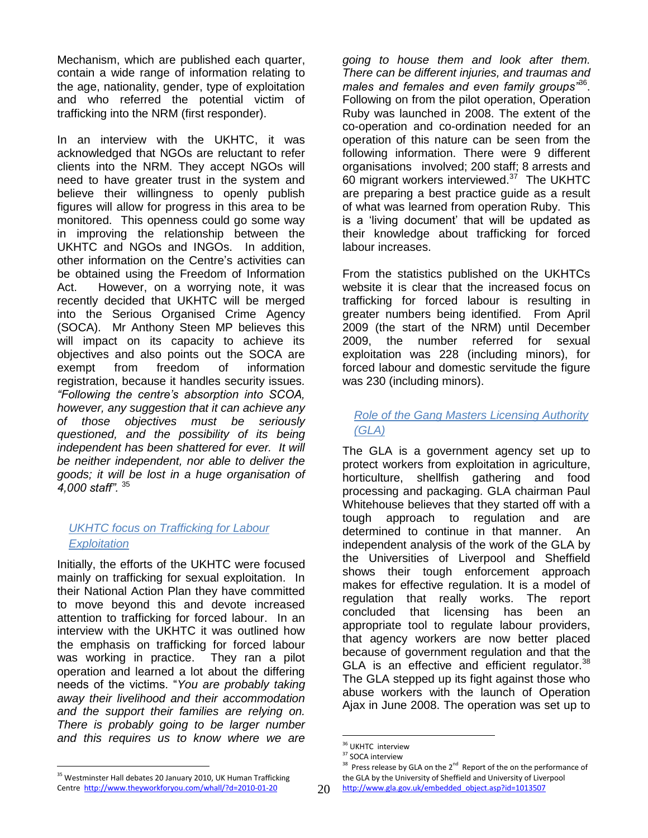Mechanism, which are published each quarter, contain a wide range of information relating to the age, nationality, gender, type of exploitation and who referred the potential victim of trafficking into the NRM (first responder).

In an interview with the UKHTC, it was acknowledged that NGOs are reluctant to refer clients into the NRM. They accept NGOs will need to have greater trust in the system and believe their willingness to openly publish figures will allow for progress in this area to be monitored. This openness could go some way in improving the relationship between the UKHTC and NGOs and INGOs. In addition, other information on the Centre"s activities can be obtained using the Freedom of Information Act. However, on a worrying note, it was recently decided that UKHTC will be merged into the Serious Organised Crime Agency (SOCA). Mr Anthony Steen MP believes this will impact on its capacity to achieve its objectives and also points out the SOCA are exempt from freedom of information registration, because it handles security issues*. "Following the centre's absorption into SCOA, however, any suggestion that it can achieve any of those objectives must be seriously questioned, and the possibility of its being independent has been shattered for ever. It will be neither independent, nor able to deliver the goods; it will be lost in a huge organisation of 4,000 staff".* <sup>35</sup>

## *UKHTC focus on Trafficking for Labour Exploitation*

Initially, the efforts of the UKHTC were focused mainly on trafficking for sexual exploitation. In their National Action Plan they have committed to move beyond this and devote increased attention to trafficking for forced labour. In an interview with the UKHTC it was outlined how the emphasis on trafficking for forced labour was working in practice. They ran a pilot operation and learned a lot about the differing needs of the victims. "*You are probably taking away their livelihood and their accommodation and the support their families are relying on. There is probably going to be larger number and this requires us to know where we are* 

*going to house them and look after them. There can be different injuries, and traumas and males and females and even family groups"*<sup>36</sup> . Following on from the pilot operation, Operation Ruby was launched in 2008. The extent of the co-operation and co-ordination needed for an operation of this nature can be seen from the following information. There were 9 different organisations involved; 200 staff; 8 arrests and 60 migrant workers interviewed. $37$  The UKHTC are preparing a best practice guide as a result of what was learned from operation Ruby. This is a "living document" that will be updated as their knowledge about trafficking for forced labour increases.

From the statistics published on the UKHTCs website it is clear that the increased focus on trafficking for forced labour is resulting in greater numbers being identified. From April 2009 (the start of the NRM) until December 2009, the number referred for sexual exploitation was 228 (including minors), for forced labour and domestic servitude the figure was 230 (including minors).

## *Role of the Gang Masters Licensing Authority (GLA)*

The GLA is a government agency set up to protect workers from exploitation in agriculture, horticulture, shellfish gathering and food processing and packaging. GLA chairman Paul Whitehouse believes that they started off with a tough approach to regulation and are determined to continue in that manner. An independent analysis of the work of the GLA by the Universities of Liverpool and Sheffield shows their tough enforcement approach makes for effective regulation. It is a model of regulation that really works. The report concluded that licensing has been an appropriate tool to regulate labour providers, that agency workers are now better placed because of government regulation and that the GLA is an effective and efficient regulator. $38$ The GLA stepped up its fight against those who abuse workers with the launch of Operation Ajax in June 2008. The operation was set up to

 $\overline{a}$ <sup>36</sup> UKHTC interview

<sup>&</sup>lt;sup>37</sup> SOCA interview

 $38$  Press release by GLA on the 2<sup>nd</sup> Report of the on the performance of the GLA by the University of Sheffield and University of Liverpool

<sup>&</sup>lt;sup>35</sup> Westminster Hall debates 20 January 2010, UK Human Trafficking Centre<http://www.theyworkforyou.com/whall/?d=2010-01-20>

[http://www.gla.gov.uk/embedded\\_object.asp?id=1013507](http://www.gla.gov.uk/embedded_object.asp?id=1013507)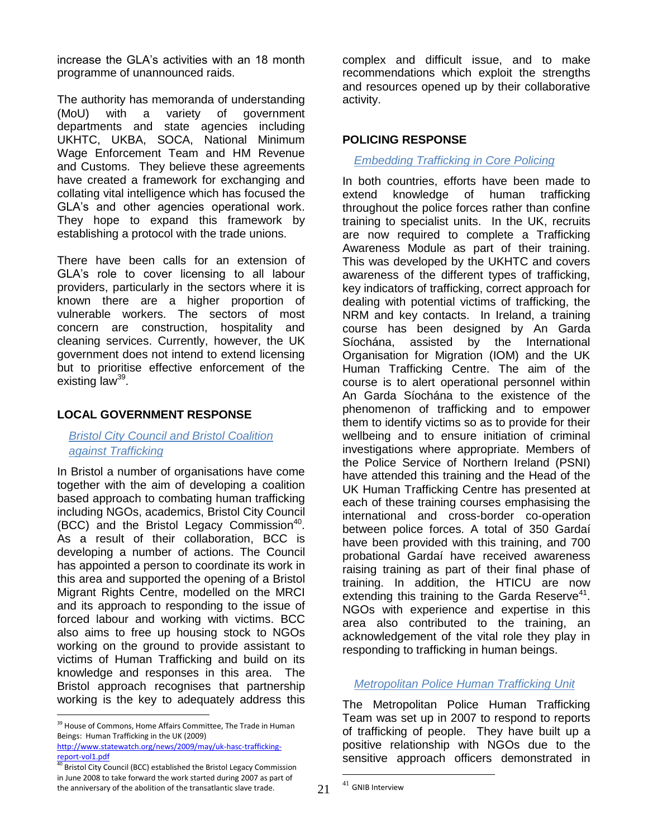increase the GLA"s activities with an 18 month programme of unannounced raids.

The authority has memoranda of understanding (MoU) with a variety of government departments and state agencies including UKHTC, UKBA, SOCA, National Minimum Wage Enforcement Team and HM Revenue and Customs. They believe these agreements have created a framework for exchanging and collating vital intelligence which has focused the GLA"s and other agencies operational work. They hope to expand this framework by establishing a protocol with the trade unions.

There have been calls for an extension of GLA"s role to cover licensing to all labour providers, particularly in the sectors where it is known there are a higher proportion of vulnerable workers. The sectors of most concern are construction, hospitality and cleaning services. Currently, however, the UK government does not intend to extend licensing but to prioritise effective enforcement of the existing law<sup>39</sup>.

#### **LOCAL GOVERNMENT RESPONSE**

#### *Bristol City Council and Bristol Coalition against Trafficking*

In Bristol a number of organisations have come together with the aim of developing a coalition based approach to combating human trafficking including NGOs, academics, Bristol City Council (BCC) and the Bristol Legacy Commission<sup>40</sup>. As a result of their collaboration, BCC is developing a number of actions. The Council has appointed a person to coordinate its work in this area and supported the opening of a Bristol Migrant Rights Centre, modelled on the MRCI and its approach to responding to the issue of forced labour and working with victims. BCC also aims to free up housing stock to NGOs working on the ground to provide assistant to victims of Human Trafficking and build on its knowledge and responses in this area. The Bristol approach recognises that partnership working is the key to adequately address this

[http://www.statewatch.org/news/2009/may/uk-hasc-trafficking](http://www.statewatch.org/news/2009/may/uk-hasc-trafficking-report-vol1.pdf)[report-vol1.pdf](http://www.statewatch.org/news/2009/may/uk-hasc-trafficking-report-vol1.pdf)

 $\overline{a}$ 

complex and difficult issue, and to make recommendations which exploit the strengths and resources opened up by their collaborative activity.

### **POLICING RESPONSE**

### *Embedding Trafficking in Core Policing*

In both countries, efforts have been made to extend knowledge of human trafficking throughout the police forces rather than confine training to specialist units. In the UK, recruits are now required to complete a Trafficking Awareness Module as part of their training. This was developed by the UKHTC and covers awareness of the different types of trafficking, key indicators of trafficking, correct approach for dealing with potential victims of trafficking, the NRM and key contacts. In Ireland, a training course has been designed by An Garda Síochána, assisted by the International Organisation for Migration (IOM) and the UK Human Trafficking Centre. The aim of the course is to alert operational personnel within An Garda Síochána to the existence of the phenomenon of trafficking and to empower them to identify victims so as to provide for their wellbeing and to ensure initiation of criminal investigations where appropriate. Members of the Police Service of Northern Ireland (PSNI) have attended this training and the Head of the UK Human Trafficking Centre has presented at each of these training courses emphasising the international and cross-border co-operation between police forces. A total of 350 Gardaí have been provided with this training, and 700 probational Gardaí have received awareness raising training as part of their final phase of training. In addition, the HTICU are now extending this training to the Garda Reserve $41$ . NGOs with experience and expertise in this area also contributed to the training, an acknowledgement of the vital role they play in responding to trafficking in human beings.

#### *Metropolitan Police Human Trafficking Unit*

The Metropolitan Police Human Trafficking Team was set up in 2007 to respond to reports of trafficking of people. They have built up a positive relationship with NGOs due to the sensitive approach officers demonstrated in

<sup>&</sup>lt;sup>39</sup> House of Commons, Home Affairs Committee, The Trade in Human Beings: Human Trafficking in the UK (2009)

 $\overline{\text{0}}$  Bristol City Council (BCC) established the Bristol Legacy Commission in June 2008 to take forward the work started during 2007 as part of the anniversary of the abolition of the transatlantic slave trade.

<sup>41</sup> GNIB Interview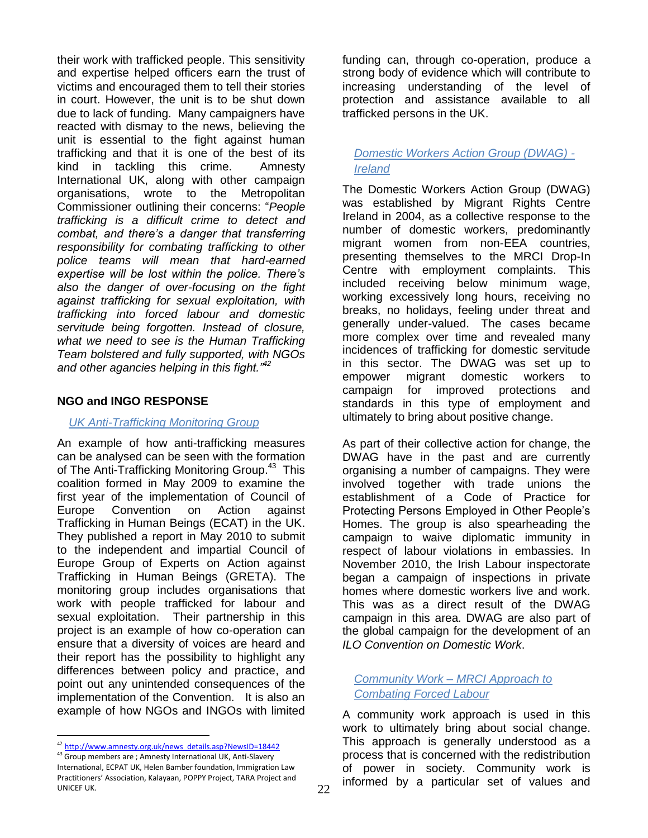their work with trafficked people. This sensitivity and expertise helped officers earn the trust of victims and encouraged them to tell their stories in court. However, the unit is to be shut down due to lack of funding. Many campaigners have reacted with dismay to the news, believing the unit is essential to the fight against human trafficking and that it is one of the best of its kind in tackling this crime. Amnesty International UK, along with other campaign organisations, wrote to the Metropolitan Commissioner outlining their concerns: "*People trafficking is a difficult crime to detect and combat, and there's a danger that transferring responsibility for combating trafficking to other police teams will mean that hard-earned expertise will be lost within the police. There's also the danger of over-focusing on the fight against trafficking for sexual exploitation, with trafficking into forced labour and domestic servitude being forgotten. Instead of closure, what we need to see is the Human Trafficking Team bolstered and fully supported, with NGOs and other agancies helping in this fight."<sup>42</sup>*

#### **NGO and INGO RESPONSE**

#### *UK Anti-Trafficking Monitoring Group*

An example of how anti-trafficking measures can be analysed can be seen with the formation of The Anti-Trafficking Monitoring Group.<sup>43</sup> This coalition formed in May 2009 to examine the first year of the implementation of Council of Europe Convention on Action against Trafficking in Human Beings (ECAT) in the UK. They published a report in May 2010 to submit to the independent and impartial Council of Europe Group of Experts on Action against Trafficking in Human Beings (GRETA). The monitoring group includes organisations that work with people trafficked for labour and sexual exploitation. Their partnership in this project is an example of how co-operation can ensure that a diversity of voices are heard and their report has the possibility to highlight any differences between policy and practice, and point out any unintended consequences of the implementation of the Convention. It is also an example of how NGOs and INGOs with limited

 $\overline{a}$ 

funding can, through co-operation, produce a strong body of evidence which will contribute to increasing understanding of the level of protection and assistance available to all trafficked persons in the UK.

## *Domestic Workers Action Group (DWAG) - Ireland*

The Domestic Workers Action Group (DWAG) was established by Migrant Rights Centre Ireland in 2004, as a collective response to the number of domestic workers, predominantly migrant women from non-EEA countries, presenting themselves to the MRCI Drop-In Centre with employment complaints. This included receiving below minimum wage, working excessively long hours, receiving no breaks, no holidays, feeling under threat and generally under-valued. The cases became more complex over time and revealed many incidences of trafficking for domestic servitude in this sector. The DWAG was set up to empower migrant domestic workers to campaign for improved protections and standards in this type of employment and ultimately to bring about positive change.

As part of their collective action for change, the DWAG have in the past and are currently organising a number of campaigns. They were involved together with trade unions the establishment of a Code of Practice for Protecting Persons Employed in Other People"s Homes. The group is also spearheading the campaign to waive diplomatic immunity in respect of labour violations in embassies. In November 2010, the Irish Labour inspectorate began a campaign of inspections in private homes where domestic workers live and work. This was as a direct result of the DWAG campaign in this area. DWAG are also part of the global campaign for the development of an *ILO Convention on Domestic Work*.

## *Community Work – MRCI Approach to Combating Forced Labour*

A community work approach is used in this work to ultimately bring about social change. This approach is generally understood as a process that is concerned with the redistribution of power in society. Community work is informed by a particular set of values and

<sup>42</sup> [http://www.amnesty.org.uk/news\\_details.asp?NewsID=18442](http://www.amnesty.org.uk/news_details.asp?NewsID=18442)

<sup>43</sup> Group members are ; Amnesty International UK, Anti-Slavery International, ECPAT UK, Helen Bamber foundation, Immigration Law Practitioners' Association, Kalayaan, POPPY Project, TARA Project and UNICEF UK.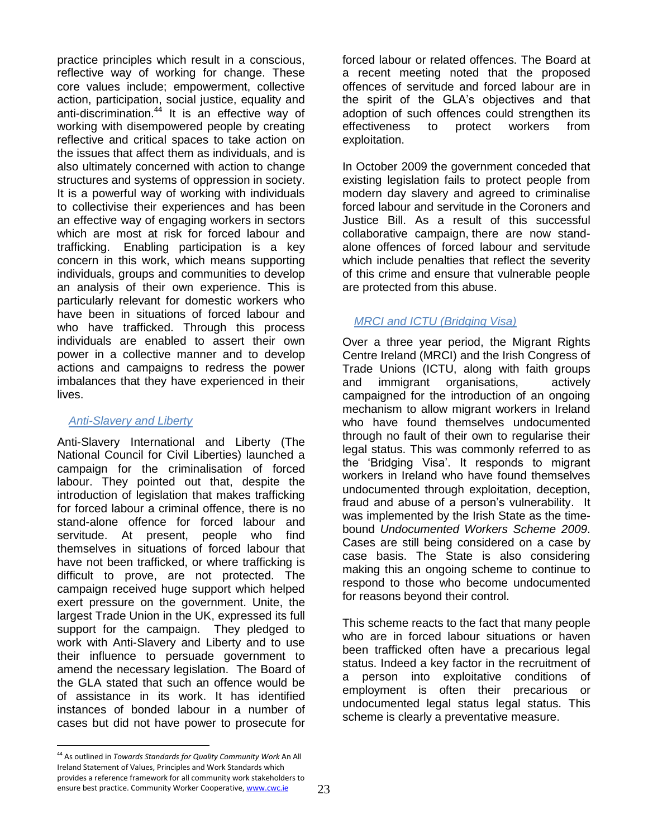practice principles which result in a conscious, reflective way of working for change. These core values include; empowerment, collective action, participation, social justice, equality and anti-discrimination.<sup>44</sup> It is an effective way of working with disempowered people by creating reflective and critical spaces to take action on the issues that affect them as individuals, and is also ultimately concerned with action to change structures and systems of oppression in society. It is a powerful way of working with individuals to collectivise their experiences and has been an effective way of engaging workers in sectors which are most at risk for forced labour and trafficking. Enabling participation is a key concern in this work, which means supporting individuals, groups and communities to develop an analysis of their own experience. This is particularly relevant for domestic workers who have been in situations of forced labour and who have trafficked. Through this process individuals are enabled to assert their own power in a collective manner and to develop actions and campaigns to redress the power imbalances that they have experienced in their lives.

#### *Anti-Slavery and Liberty*

Anti-Slavery International and Liberty (The National Council for Civil Liberties) launched a campaign for the criminalisation of forced labour. They pointed out that, despite the introduction of legislation that makes trafficking for forced labour a criminal offence, there is no stand-alone offence for forced labour and servitude. At present, people who find themselves in situations of forced labour that have not been trafficked, or where trafficking is difficult to prove, are not protected. The campaign received huge support which helped exert pressure on the government. Unite, the largest Trade Union in the UK, expressed its full support for the campaign. They pledged to work with Anti-Slavery and Liberty and to use their influence to persuade government to amend the necessary legislation. The Board of the GLA stated that such an offence would be of assistance in its work. It has identified instances of bonded labour in a number of cases but did not have power to prosecute for

forced labour or related offences. The Board at a recent meeting noted that the proposed offences of servitude and forced labour are in the spirit of the GLA"s objectives and that adoption of such offences could strengthen its effectiveness to protect workers from exploitation.

In October 2009 the government conceded that existing legislation fails to protect people from modern day slavery and agreed to criminalise forced labour and servitude in the Coroners and Justice Bill. As a result of this successful collaborative campaign, there are now standalone offences of forced labour and servitude which include penalties that reflect the severity of this crime and ensure that vulnerable people are protected from this abuse.

## *MRCI and ICTU (Bridging Visa)*

Over a three year period, the Migrant Rights Centre Ireland (MRCI) and the Irish Congress of Trade Unions (ICTU, along with faith groups and immigrant organisations, actively campaigned for the introduction of an ongoing mechanism to allow migrant workers in Ireland who have found themselves undocumented through no fault of their own to regularise their legal status. This was commonly referred to as the "Bridging Visa". It responds to migrant workers in Ireland who have found themselves undocumented through exploitation, deception, fraud and abuse of a person"s vulnerability. It was implemented by the Irish State as the timebound *Undocumented Workers Scheme 2009*. Cases are still being considered on a case by case basis. The State is also considering making this an ongoing scheme to continue to respond to those who become undocumented for reasons beyond their control.

This scheme reacts to the fact that many people who are in forced labour situations or haven been trafficked often have a precarious legal status. Indeed a key factor in the recruitment of a person into exploitative conditions of employment is often their precarious or undocumented legal status legal status. This scheme is clearly a preventative measure.

 $\overline{a}$ <sup>44</sup> As outlined in *Towards Standards for Quality Community Work* An All Ireland Statement of Values, Principles and Work Standards which provides a reference framework for all community work stakeholders to ensure best practice. Community Worker Cooperative[, www.cwc.ie](http://www.cwc.ie/)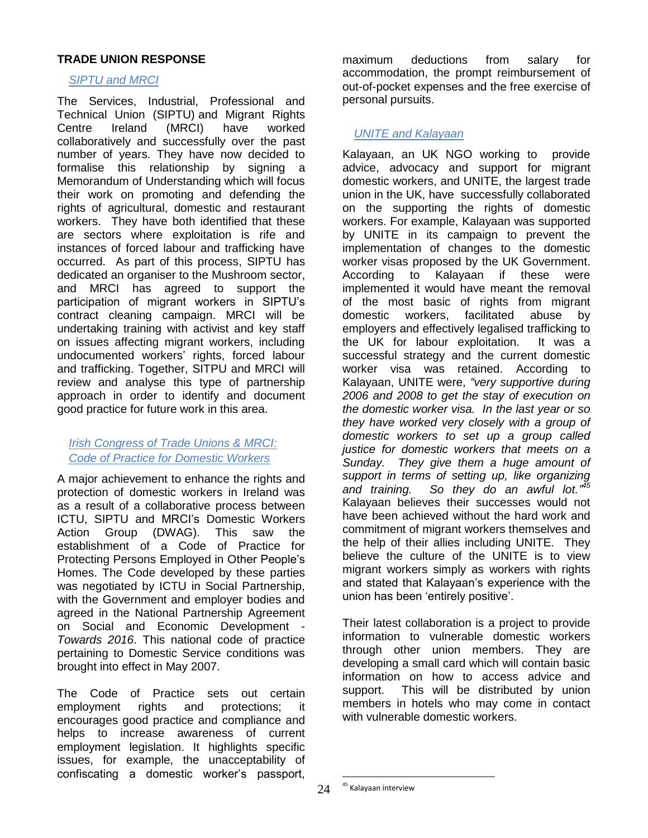#### **TRADE UNION RESPONSE**

#### *SIPTU and MRCI*

The Services, Industrial, Professional and Technical Union (SIPTU) and Migrant Rights Centre Ireland (MRCI) have worked collaboratively and successfully over the past number of years. They have now decided to formalise this relationship by signing a Memorandum of Understanding which will focus their work on promoting and defending the rights of agricultural, domestic and restaurant workers. They have both identified that these are sectors where exploitation is rife and instances of forced labour and trafficking have occurred. As part of this process, SIPTU has dedicated an organiser to the Mushroom sector, and MRCI has agreed to support the participation of migrant workers in SIPTU"s contract cleaning campaign. MRCI will be undertaking training with activist and key staff on issues affecting migrant workers, including undocumented workers" rights, forced labour and trafficking. Together, SITPU and MRCI will review and analyse this type of partnership approach in order to identify and document good practice for future work in this area.

### *Irish Congress of Trade Unions & MRCI: Code of Practice for Domestic Workers*

A major achievement to enhance the rights and protection of domestic workers in Ireland was as a result of a collaborative process between ICTU, SIPTU and MRCI"s Domestic Workers Action Group (DWAG). This saw the establishment of a Code of Practice for Protecting Persons Employed in Other People"s Homes. The Code developed by these parties was negotiated by ICTU in Social Partnership, with the Government and employer bodies and agreed in the National Partnership Agreement on Social and Economic Development - *Towards 2016*. This national code of practice pertaining to Domestic Service conditions was brought into effect in May 2007.

The Code of Practice sets out certain employment rights and protections; it encourages good practice and compliance and helps to increase awareness of current employment legislation. It highlights specific issues, for example, the unacceptability of confiscating a domestic worker"s passport,

maximum deductions from salary for accommodation, the prompt reimbursement of out-of-pocket expenses and the free exercise of personal pursuits.

#### *UNITE and Kalayaan*

Kalayaan, an UK NGO working to provide advice, advocacy and support for migrant domestic workers, and UNITE, the largest trade union in the UK, have successfully collaborated on the supporting the rights of domestic workers. For example, Kalayaan was supported by UNITE in its campaign to prevent the implementation of changes to the domestic worker visas proposed by the UK Government. According to Kalayaan if these were implemented it would have meant the removal of the most basic of rights from migrant domestic workers, facilitated abuse by employers and effectively legalised trafficking to the UK for labour exploitation. It was a successful strategy and the current domestic worker visa was retained. According to Kalayaan, UNITE were, *"very supportive during 2006 and 2008 to get the stay of execution on the domestic worker visa. In the last year or so they have worked very closely with a group of domestic workers to set up a group called justice for domestic workers that meets on a Sunday. They give them a huge amount of support in terms of setting up, like organizing and training. So they do an awful lot." 45* Kalayaan believes their successes would not have been achieved without the hard work and commitment of migrant workers themselves and the help of their allies including UNITE. They believe the culture of the UNITE is to view migrant workers simply as workers with rights and stated that Kalayaan"s experience with the union has been 'entirely positive'.

Their latest collaboration is a project to provide information to vulnerable domestic workers through other union members. They are developing a small card which will contain basic information on how to access advice and support. This will be distributed by union members in hotels who may come in contact with vulnerable domestic workers.

<sup>&</sup>lt;sup>45</sup> Kalayaan interview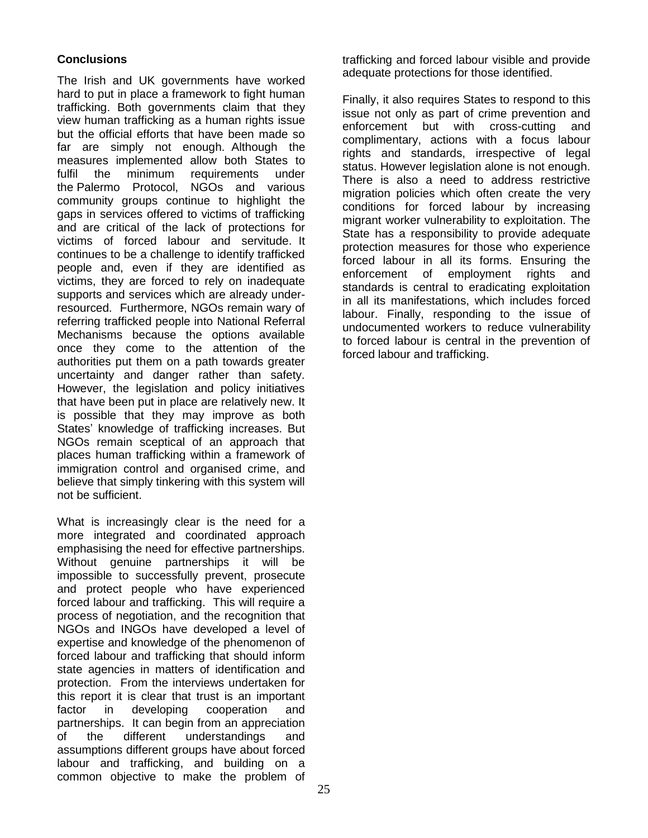## **Conclusions**

The Irish and UK governments have worked hard to put in place a framework to fight human trafficking. Both governments claim that they view human trafficking as a human rights issue but the official efforts that have been made so far are simply not enough. Although the measures implemented allow both States to fulfil the minimum requirements under the Palermo Protocol, NGOs and various community groups continue to highlight the gaps in services offered to victims of trafficking and are critical of the lack of protections for victims of forced labour and servitude. It continues to be a challenge to identify trafficked people and, even if they are identified as victims, they are forced to rely on inadequate supports and services which are already underresourced. Furthermore, NGOs remain wary of referring trafficked people into National Referral Mechanisms because the options available once they come to the attention of the authorities put them on a path towards greater uncertainty and danger rather than safety. However, the legislation and policy initiatives that have been put in place are relatively new. It is possible that they may improve as both States' knowledge of trafficking increases. But NGOs remain sceptical of an approach that places human trafficking within a framework of immigration control and organised crime, and believe that simply tinkering with this system will not be sufficient.

What is increasingly clear is the need for a more integrated and coordinated approach emphasising the need for effective partnerships. Without genuine partnerships it will be impossible to successfully prevent, prosecute and protect people who have experienced forced labour and trafficking. This will require a process of negotiation, and the recognition that NGOs and INGOs have developed a level of expertise and knowledge of the phenomenon of forced labour and trafficking that should inform state agencies in matters of identification and protection. From the interviews undertaken for this report it is clear that trust is an important factor in developing cooperation and partnerships. It can begin from an appreciation of the different understandings and assumptions different groups have about forced labour and trafficking, and building on a common objective to make the problem of

trafficking and forced labour visible and provide adequate protections for those identified.

Finally, it also requires States to respond to this issue not only as part of crime prevention and enforcement but with cross-cutting and complimentary, actions with a focus labour rights and standards, irrespective of legal status. However legislation alone is not enough. There is also a need to address restrictive migration policies which often create the very conditions for forced labour by increasing migrant worker vulnerability to exploitation. The State has a responsibility to provide adequate protection measures for those who experience forced labour in all its forms. Ensuring the enforcement of employment rights and standards is central to eradicating exploitation in all its manifestations, which includes forced labour. Finally, responding to the issue of undocumented workers to reduce vulnerability to forced labour is central in the prevention of forced labour and trafficking.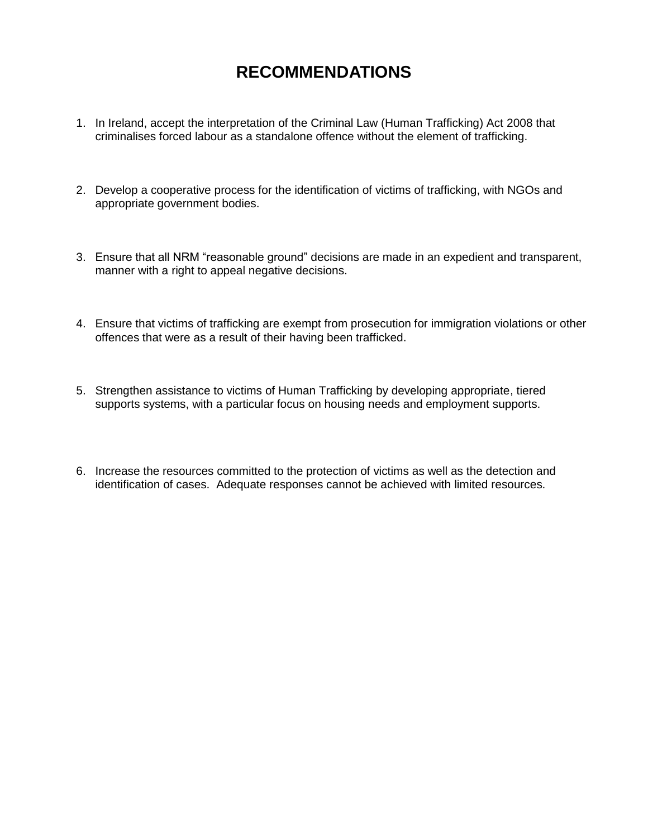## **RECOMMENDATIONS**

- 1. In Ireland, accept the interpretation of the [Criminal Law \(Human Trafficking\) Act](http://www.oireachtas.ie/viewdoc.asp?fn=/documents/bills28/acts/2008/a0808.pdf) 2008 that criminalises forced labour as a standalone offence without the element of trafficking.
- 2. Develop a cooperative process for the identification of victims of trafficking, with NGOs and appropriate government bodies.
- 3. Ensure that all NRM "reasonable ground" decisions are made in an expedient and transparent, manner with a right to appeal negative decisions.
- 4. Ensure that victims of trafficking are exempt from prosecution for immigration violations or other offences that were as a result of their having been trafficked.
- 5. Strengthen assistance to victims of Human Trafficking by developing appropriate, tiered supports systems, with a particular focus on housing needs and employment supports.
- 6. Increase the resources committed to the protection of victims as well as the detection and identification of cases. Adequate responses cannot be achieved with limited resources.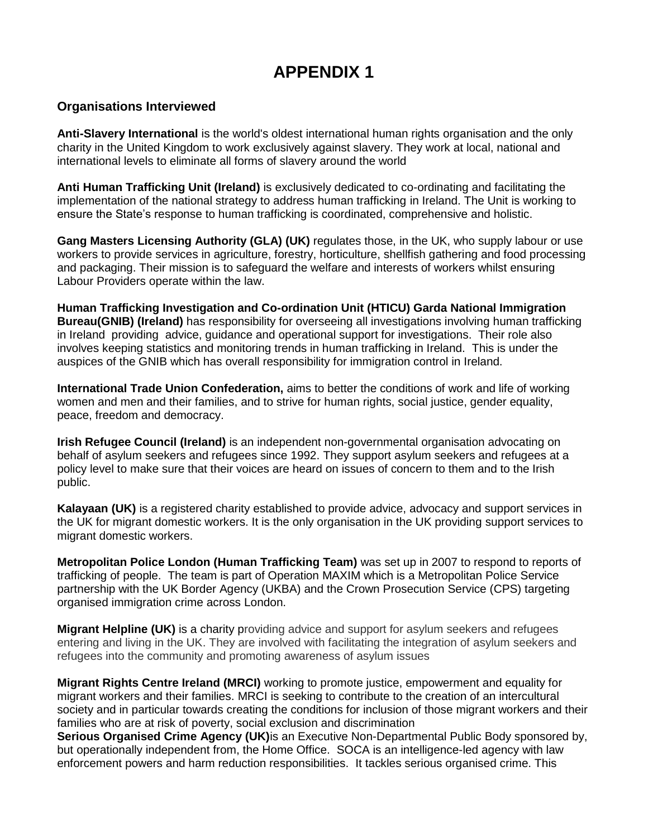## **APPENDIX 1**

### **Organisations Interviewed**

**Anti-Slavery International** is the world's oldest international human rights organisation and the only charity in the United Kingdom to work exclusively against slavery. They work at local, national and international levels to eliminate all forms of slavery around the world

**Anti Human Trafficking Unit (Ireland)** is exclusively dedicated to co-ordinating and facilitating the implementation of the national strategy to address human trafficking in Ireland. The Unit is working to ensure the State"s response to human trafficking is coordinated, comprehensive and holistic.

**Gang Masters Licensing Authority (GLA) (UK)** regulates those, in the UK, who supply labour or use workers to provide services in agriculture, forestry, horticulture, shellfish gathering and food processing and packaging. Their mission is to safeguard the welfare and interests of workers whilst ensuring Labour Providers operate within the law.

**Human Trafficking Investigation and Co-ordination Unit (HTICU) Garda National Immigration Bureau(GNIB) (Ireland)** has responsibility for overseeing all investigations involving human trafficking in Ireland providing advice, guidance and operational support for investigations. Their role also involves keeping statistics and monitoring trends in human trafficking in Ireland.This is under the auspices of the GNIB which has overall responsibility for immigration control in Ireland.

**International Trade Union Confederation,** aims to better the conditions of work and life of working women and men and their families, and to strive for human rights, social justice, gender equality, peace, freedom and democracy.

**Irish Refugee Council (Ireland)** is an independent non-governmental organisation advocating on behalf of asylum seekers and refugees since 1992. They support asylum seekers and refugees at a policy level to make sure that their voices are heard on issues of concern to them and to the Irish public.

**Kalayaan (UK)** is a registered charity established to provide advice, advocacy and support services in the UK for migrant domestic workers. It is the only organisation in the UK providing support services to migrant domestic workers.

**Metropolitan Police London (Human Trafficking Team)** was set up in 2007 to respond to reports of trafficking of people. The team is part of Operation MAXIM which is a Metropolitan Police Service partnership with the UK Border Agency (UKBA) and the Crown Prosecution Service (CPS) targeting organised immigration crime across London.

**Migrant Helpline (UK)** is a charity providing advice and support for asylum seekers and refugees entering and living in the UK. They are involved with facilitating the integration of asylum seekers and refugees into the community and promoting awareness of asylum issues

**Migrant Rights Centre Ireland (MRCI)** working to promote justice, empowerment and equality for migrant workers and their families. MRCI is seeking to contribute to the creation of an intercultural society and in particular towards creating the conditions for inclusion of those migrant workers and their families who are at risk of poverty, social exclusion and discrimination

**Serious Organised Crime Agency (UK)**is an Executive Non-Departmental Public Body sponsored by, but operationally independent from, the Home Office. SOCA is an intelligence-led agency with law enforcement powers and harm reduction responsibilities. It tackles serious organised crime. This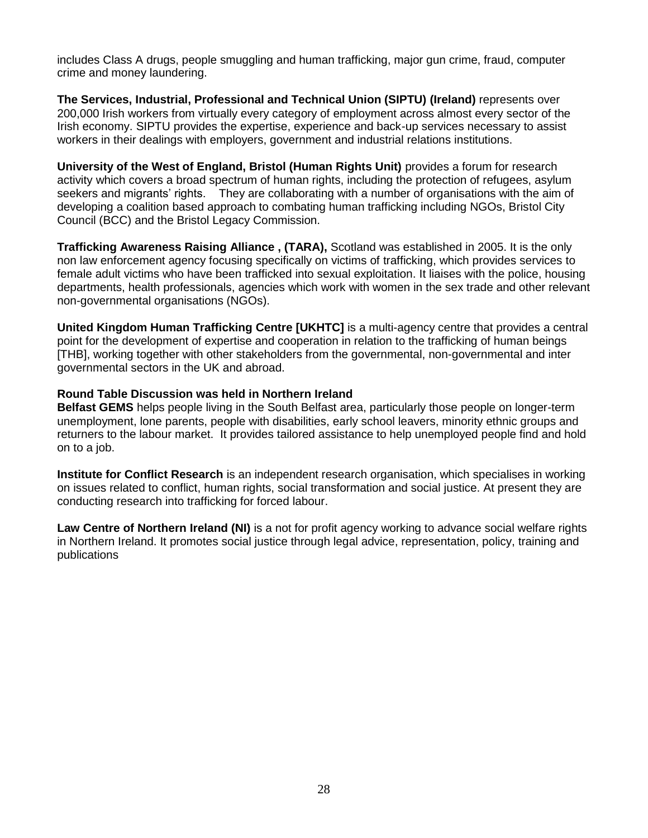includes Class A drugs, people smuggling and human trafficking, major gun crime, fraud, computer crime and money laundering.

**The Services, Industrial, Professional and Technical Union (SIPTU) (Ireland)** represents over 200,000 Irish workers from virtually every category of employment across almost every sector of the Irish economy. SIPTU provides the expertise, experience and back-up services necessary to assist workers in their dealings with employers, government and industrial relations institutions.

**University of the West of England, Bristol (Human Rights Unit)** provides a forum for research activity which covers a broad spectrum of human rights, including the protection of refugees, asylum seekers and migrants' rights. They are collaborating with a number of organisations with the aim of developing a coalition based approach to combating human trafficking including NGOs, Bristol City Council (BCC) and the Bristol Legacy Commission.

**Trafficking Awareness Raising Alliance , (TARA),** Scotland was established in 2005. It is the only non law enforcement agency focusing specifically on victims of trafficking, which provides services to female adult victims who have been trafficked into sexual exploitation. It liaises with the police, housing departments, health professionals, agencies which work with women in the sex trade and other relevant non-governmental organisations (NGOs).

**United Kingdom Human Trafficking Centre [UKHTC]** is a multi-agency centre that provides a central point for the development of expertise and cooperation in relation to the trafficking of human beings [THB], working together with other stakeholders from the governmental, non-governmental and inter governmental sectors in the UK and abroad.

#### **Round Table Discussion was held in Northern Ireland**

**Belfast GEMS** helps people living in the South Belfast area, particularly those people on longer-term unemployment, lone parents, people with disabilities, early school leavers, minority ethnic groups and returners to the labour market. It provides tailored assistance to help unemployed people find and hold on to a job.

**Institute for Conflict Research** is an independent research organisation, which specialises in working on issues related to conflict, human rights, social transformation and social justice. At present they are conducting research into trafficking for forced labour.

<span id="page-27-0"></span>**Law Centre of Northern Ireland (NI)** is a not for profit agency working to advance social welfare rights in Northern Ireland. It promotes social justice through legal advice, representation, policy, training and publications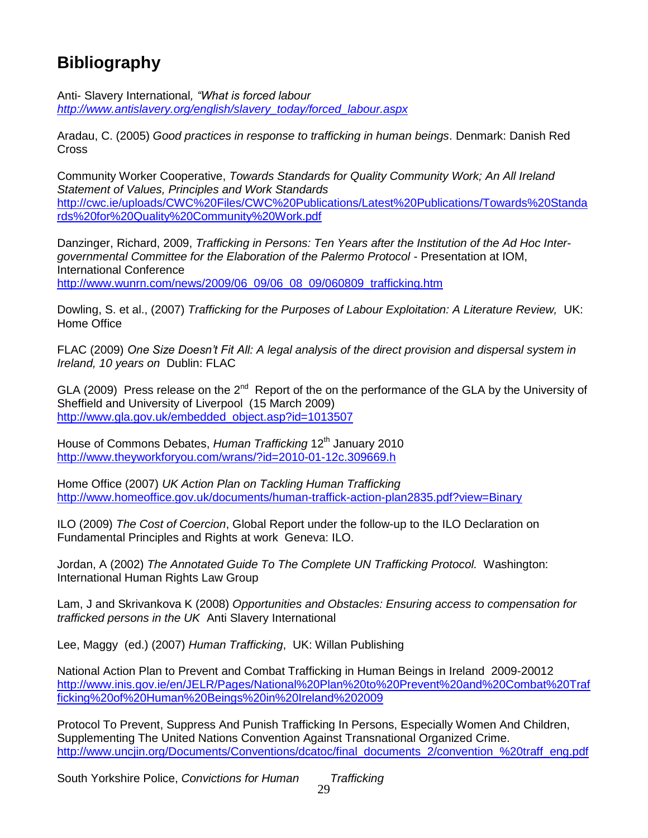# **Bibliography**

Anti- Slavery International*, "What is forced labour [http://www.antislavery.org/english/slavery\\_today/forced\\_labour.aspx](http://www.antislavery.org/english/slavery_today/forced_labour.aspx)*

Aradau, C. (2005) *Good practices in response to trafficking in human beings*. Denmark: Danish Red **Cross** 

Community Worker Cooperative, *Towards Standards for Quality Community Work; An All Ireland Statement of Values, Principles and Work Standards* [http://cwc.ie/uploads/CWC%20Files/CWC%20Publications/Latest%20Publications/Towards%20Standa](http://cwc.ie/uploads/CWC%20Files/CWC%20Publications/Latest%20Publications/Towards%20Standards%20for%20Quality%20Community%20Work.pdf) [rds%20for%20Quality%20Community%20Work.pdf](http://cwc.ie/uploads/CWC%20Files/CWC%20Publications/Latest%20Publications/Towards%20Standards%20for%20Quality%20Community%20Work.pdf)

Danzinger, Richard, 2009, *Trafficking in Persons: Ten Years after the Institution of the Ad Hoc Intergovernmental Committee for the Elaboration of the Palermo Protocol* - Presentation at IOM, International Conference [http://www.wunrn.com/news/2009/06\\_09/06\\_08\\_09/060809\\_trafficking.htm](http://www.wunrn.com/news/2009/06_09/06_08_09/060809_trafficking.htm)

Dowling, S. et al., (2007) *Trafficking for the Purposes of Labour Exploitation: A Literature Review, UK*: Home Office

FLAC (2009) *One Size Doesn't Fit All: A legal analysis of the direct provision and dispersal system in Ireland, 10 years on* Dublin: FLAC

GLA (2009) Press release on the  $2^{nd}$  Report of the on the performance of the GLA by the University of Sheffield and University of Liverpool (15 March 2009) [http://www.gla.gov.uk/embedded\\_object.asp?id=1013507](http://www.gla.gov.uk/embedded_object.asp?id=1013507)

House of Commons Debates, *Human Trafficking* 12<sup>th</sup> January 2010 <http://www.theyworkforyou.com/wrans/?id=2010-01-12c.309669.h>

Home Office (2007) *UK Action Plan on Tackling Human Trafficking* <http://www.homeoffice.gov.uk/documents/human-traffick-action-plan2835.pdf?view=Binary>

ILO (2009) *The Cost of Coercion*, Global Report under the follow-up to the ILO Declaration on Fundamental Principles and Rights at work Geneva: ILO.

Jordan, A (2002) *The Annotated Guide To The Complete UN Trafficking Protocol.* Washington: International Human Rights Law Group

Lam, J and Skrivankova K (2008) *Opportunities and Obstacles: Ensuring access to compensation for trafficked persons in the UK* Anti Slavery International

Lee, Maggy (ed.) (2007) *Human Trafficking*, UK: Willan Publishing

National Action Plan to Prevent and Combat Trafficking in Human Beings in Ireland 2009-20012 [http://www.inis.gov.ie/en/JELR/Pages/National%20Plan%20to%20Prevent%20and%20Combat%20Traf](http://www.inis.gov.ie/en/JELR/Pages/National%20Plan%20to%20Prevent%20and%20Combat%20Trafficking%20of%20Human%20Beings%20in%20Ireland%202009) [ficking%20of%20Human%20Beings%20in%20Ireland%202009](http://www.inis.gov.ie/en/JELR/Pages/National%20Plan%20to%20Prevent%20and%20Combat%20Trafficking%20of%20Human%20Beings%20in%20Ireland%202009)

Protocol To Prevent, Suppress And Punish Trafficking In Persons, Especially Women And Children, Supplementing The United Nations Convention Against Transnational Organized Crime. [http://www.uncjin.org/Documents/Conventions/dcatoc/final\\_documents\\_2/convention\\_%20traff\\_eng.pdf](http://www.uncjin.org/Documents/Conventions/dcatoc/final_documents_2/convention_%20traff_eng.pdf)

South Yorkshire Police, *Convictions for Human Trafficking*